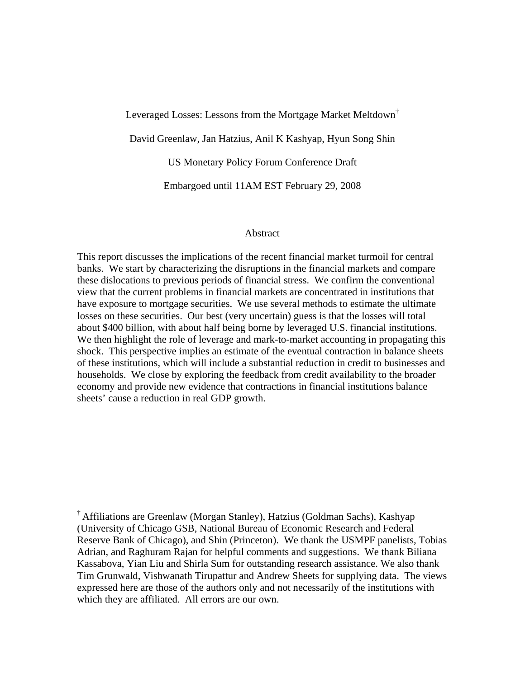Leveraged Losses: Lessons from the Mortgage Market Meltdown<sup>†</sup>

David Greenlaw, Jan Hatzius, Anil K Kashyap, Hyun Song Shin

US Monetary Policy Forum Conference Draft

Embargoed until 11AM EST February 29, 2008

#### Abstract

This report discusses the implications of the recent financial market turmoil for central banks. We start by characterizing the disruptions in the financial markets and compare these dislocations to previous periods of financial stress. We confirm the conventional view that the current problems in financial markets are concentrated in institutions that have exposure to mortgage securities. We use several methods to estimate the ultimate losses on these securities. Our best (very uncertain) guess is that the losses will total about \$400 billion, with about half being borne by leveraged U.S. financial institutions. We then highlight the role of leverage and mark-to-market accounting in propagating this shock. This perspective implies an estimate of the eventual contraction in balance sheets of these institutions, which will include a substantial reduction in credit to businesses and households. We close by exploring the feedback from credit availability to the broader economy and provide new evidence that contractions in financial institutions balance sheets' cause a reduction in real GDP growth.

† Affiliations are Greenlaw (Morgan Stanley), Hatzius (Goldman Sachs), Kashyap (University of Chicago GSB, National Bureau of Economic Research and Federal Reserve Bank of Chicago), and Shin (Princeton). We thank the USMPF panelists, Tobias Adrian, and Raghuram Rajan for helpful comments and suggestions. We thank Biliana Kassabova, Yian Liu and Shirla Sum for outstanding research assistance. We also thank Tim Grunwald, Vishwanath Tirupattur and Andrew Sheets for supplying data. The views expressed here are those of the authors only and not necessarily of the institutions with which they are affiliated. All errors are our own.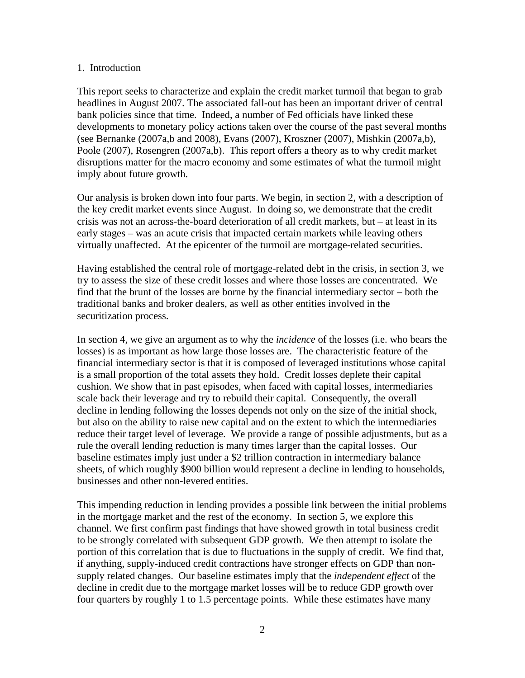### 1. Introduction

This report seeks to characterize and explain the credit market turmoil that began to grab headlines in August 2007. The associated fall-out has been an important driver of central bank policies since that time. Indeed, a number of Fed officials have linked these developments to monetary policy actions taken over the course of the past several months (see Bernanke (2007a,b and 2008), Evans (2007), Kroszner (2007), Mishkin (2007a,b), Poole (2007), Rosengren (2007a,b). This report offers a theory as to why credit market disruptions matter for the macro economy and some estimates of what the turmoil might imply about future growth.

Our analysis is broken down into four parts. We begin, in section 2, with a description of the key credit market events since August. In doing so, we demonstrate that the credit crisis was not an across-the-board deterioration of all credit markets, but – at least in its early stages – was an acute crisis that impacted certain markets while leaving others virtually unaffected. At the epicenter of the turmoil are mortgage-related securities.

Having established the central role of mortgage-related debt in the crisis, in section 3, we try to assess the size of these credit losses and where those losses are concentrated. We find that the brunt of the losses are borne by the financial intermediary sector – both the traditional banks and broker dealers, as well as other entities involved in the securitization process.

In section 4, we give an argument as to why the *incidence* of the losses (i.e. who bears the losses) is as important as how large those losses are. The characteristic feature of the financial intermediary sector is that it is composed of leveraged institutions whose capital is a small proportion of the total assets they hold. Credit losses deplete their capital cushion. We show that in past episodes, when faced with capital losses, intermediaries scale back their leverage and try to rebuild their capital. Consequently, the overall decline in lending following the losses depends not only on the size of the initial shock, but also on the ability to raise new capital and on the extent to which the intermediaries reduce their target level of leverage. We provide a range of possible adjustments, but as a rule the overall lending reduction is many times larger than the capital losses. Our baseline estimates imply just under a \$2 trillion contraction in intermediary balance sheets, of which roughly \$900 billion would represent a decline in lending to households, businesses and other non-levered entities.

This impending reduction in lending provides a possible link between the initial problems in the mortgage market and the rest of the economy. In section 5, we explore this channel. We first confirm past findings that have showed growth in total business credit to be strongly correlated with subsequent GDP growth. We then attempt to isolate the portion of this correlation that is due to fluctuations in the supply of credit. We find that, if anything, supply-induced credit contractions have stronger effects on GDP than nonsupply related changes. Our baseline estimates imply that the *independent effect* of the decline in credit due to the mortgage market losses will be to reduce GDP growth over four quarters by roughly 1 to 1.5 percentage points. While these estimates have many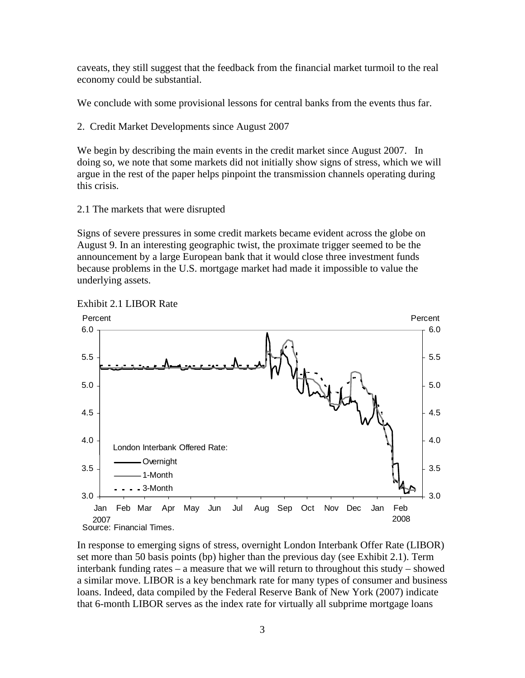caveats, they still suggest that the feedback from the financial market turmoil to the real economy could be substantial.

We conclude with some provisional lessons for central banks from the events thus far.

#### 2. Credit Market Developments since August 2007

We begin by describing the main events in the credit market since August 2007. In doing so, we note that some markets did not initially show signs of stress, which we will argue in the rest of the paper helps pinpoint the transmission channels operating during this crisis.

2.1 The markets that were disrupted

Signs of severe pressures in some credit markets became evident across the globe on August 9. In an interesting geographic twist, the proximate trigger seemed to be the announcement by a large European bank that it would close three investment funds because problems in the U.S. mortgage market had made it impossible to value the underlying assets.



Exhibit 2.1 LIBOR Rate

In response to emerging signs of stress, overnight London Interbank Offer Rate (LIBOR) set more than 50 basis points (bp) higher than the previous day (see Exhibit 2.1). Term interbank funding rates – a measure that we will return to throughout this study – showed a similar move. LIBOR is a key benchmark rate for many types of consumer and business loans. Indeed, data compiled by the Federal Reserve Bank of New York (2007) indicate that 6-month LIBOR serves as the index rate for virtually all subprime mortgage loans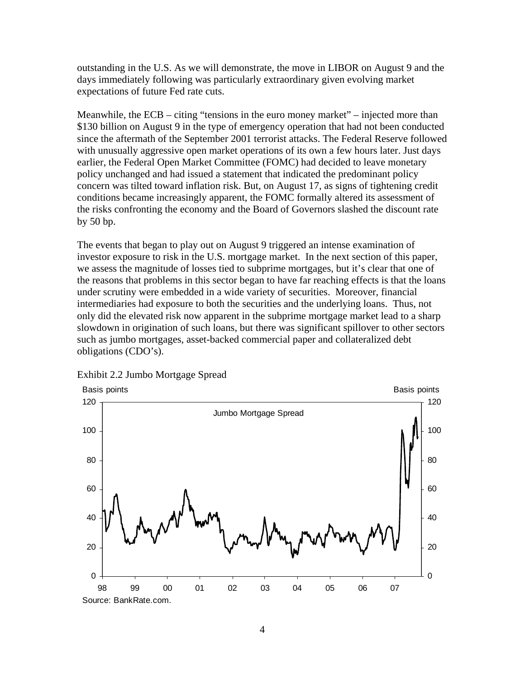outstanding in the U.S. As we will demonstrate, the move in LIBOR on August 9 and the days immediately following was particularly extraordinary given evolving market expectations of future Fed rate cuts.

Meanwhile, the ECB – citing "tensions in the euro money market" – injected more than \$130 billion on August 9 in the type of emergency operation that had not been conducted since the aftermath of the September 2001 terrorist attacks. The Federal Reserve followed with unusually aggressive open market operations of its own a few hours later. Just days earlier, the Federal Open Market Committee (FOMC) had decided to leave monetary policy unchanged and had issued a statement that indicated the predominant policy concern was tilted toward inflation risk. But, on August 17, as signs of tightening credit conditions became increasingly apparent, the FOMC formally altered its assessment of the risks confronting the economy and the Board of Governors slashed the discount rate by 50 bp.

The events that began to play out on August 9 triggered an intense examination of investor exposure to risk in the U.S. mortgage market. In the next section of this paper, we assess the magnitude of losses tied to subprime mortgages, but it's clear that one of the reasons that problems in this sector began to have far reaching effects is that the loans under scrutiny were embedded in a wide variety of securities. Moreover, financial intermediaries had exposure to both the securities and the underlying loans. Thus, not only did the elevated risk now apparent in the subprime mortgage market lead to a sharp slowdown in origination of such loans, but there was significant spillover to other sectors such as jumbo mortgages, asset-backed commercial paper and collateralized debt obligations (CDO's).



Exhibit 2.2 Jumbo Mortgage Spread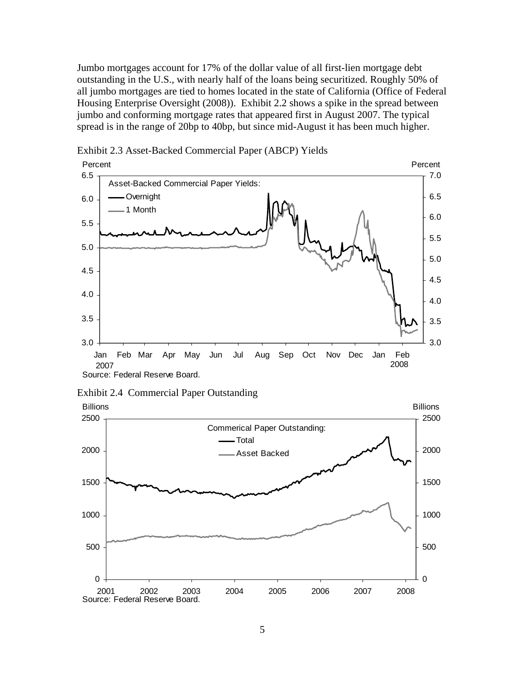Jumbo mortgages account for 17% of the dollar value of all first-lien mortgage debt outstanding in the U.S., with nearly half of the loans being securitized. Roughly 50% of all jumbo mortgages are tied to homes located in the state of California (Office of Federal Housing Enterprise Oversight (2008)). Exhibit 2.2 shows a spike in the spread between jumbo and conforming mortgage rates that appeared first in August 2007. The typical spread is in the range of 20bp to 40bp, but since mid-August it has been much higher.



Exhibit 2.3 Asset-Backed Commercial Paper (ABCP) Yields



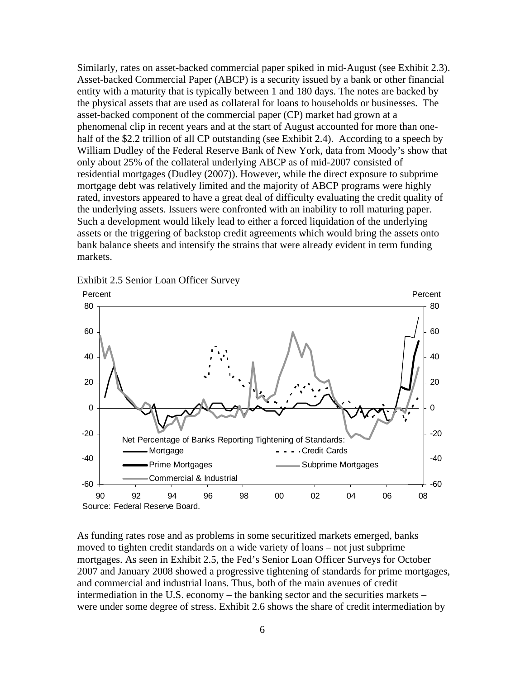Similarly, rates on asset-backed commercial paper spiked in mid-August (see Exhibit 2.3). Asset-backed Commercial Paper (ABCP) is a security issued by a bank or other financial entity with a maturity that is typically between 1 and 180 days. The notes are backed by the physical assets that are used as collateral for loans to households or businesses. The asset-backed component of the commercial paper (CP) market had grown at a phenomenal clip in recent years and at the start of August accounted for more than onehalf of the \$2.2 trillion of all CP outstanding (see Exhibit 2.4). According to a speech by William Dudley of the Federal Reserve Bank of New York, data from Moody's show that only about 25% of the collateral underlying ABCP as of mid-2007 consisted of residential mortgages (Dudley (2007)). However, while the direct exposure to subprime mortgage debt was relatively limited and the majority of ABCP programs were highly rated, investors appeared to have a great deal of difficulty evaluating the credit quality of the underlying assets. Issuers were confronted with an inability to roll maturing paper. Such a development would likely lead to either a forced liquidation of the underlying assets or the triggering of backstop credit agreements which would bring the assets onto bank balance sheets and intensify the strains that were already evident in term funding markets.





As funding rates rose and as problems in some securitized markets emerged, banks moved to tighten credit standards on a wide variety of loans – not just subprime mortgages. As seen in Exhibit 2.5, the Fed's Senior Loan Officer Surveys for October 2007 and January 2008 showed a progressive tightening of standards for prime mortgages, and commercial and industrial loans. Thus, both of the main avenues of credit intermediation in the U.S. economy – the banking sector and the securities markets – were under some degree of stress. Exhibit 2.6 shows the share of credit intermediation by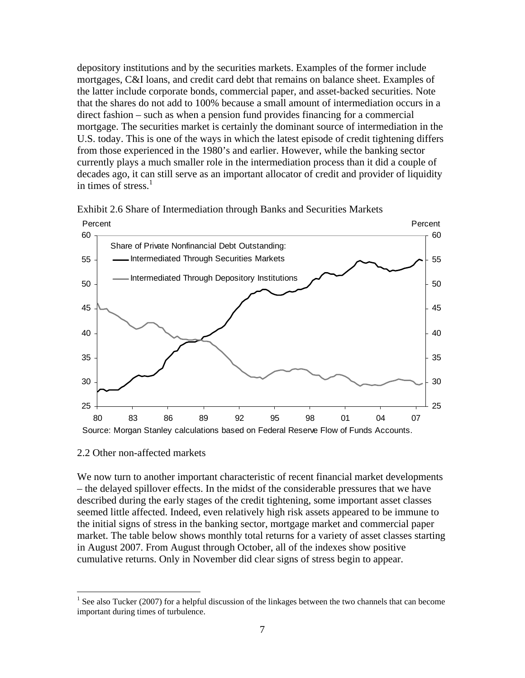depository institutions and by the securities markets. Examples of the former include mortgages, C&I loans, and credit card debt that remains on balance sheet. Examples of the latter include corporate bonds, commercial paper, and asset-backed securities. Note that the shares do not add to 100% because a small amount of intermediation occurs in a direct fashion – such as when a pension fund provides financing for a commercial mortgage. The securities market is certainly the dominant source of intermediation in the U.S. today. This is one of the ways in which the latest episode of credit tightening differs from those experienced in the 1980's and earlier. However, while the banking sector currently plays a much smaller role in the intermediation process than it did a couple of decades ago, it can still serve as an important allocator of credit and provider of liquidity in times of stress. $<sup>1</sup>$ </sup>





<sup>2.2</sup> Other non-affected markets

1

We now turn to another important characteristic of recent financial market developments – the delayed spillover effects. In the midst of the considerable pressures that we have described during the early stages of the credit tightening, some important asset classes seemed little affected. Indeed, even relatively high risk assets appeared to be immune to the initial signs of stress in the banking sector, mortgage market and commercial paper market. The table below shows monthly total returns for a variety of asset classes starting in August 2007. From August through October, all of the indexes show positive cumulative returns. Only in November did clear signs of stress begin to appear.

<sup>&</sup>lt;sup>1</sup> See also Tucker (2007) for a helpful discussion of the linkages between the two channels that can become important during times of turbulence.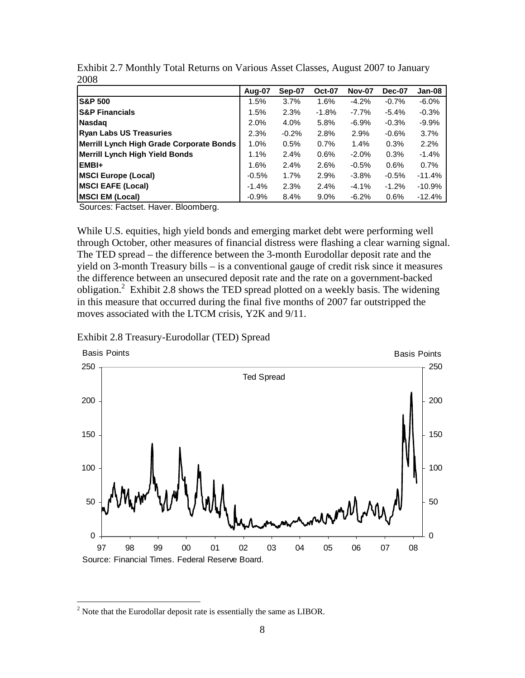|                                          | Aug-07   | Sep-07   | <b>Oct-07</b> | <b>Nov-07</b> | <b>Dec-07</b> | Jan-08    |
|------------------------------------------|----------|----------|---------------|---------------|---------------|-----------|
| <b>S&amp;P 500</b>                       | 1.5%     | 3.7%     | 1.6%          | $-4.2%$       | $-0.7%$       | $-6.0%$   |
| <b>IS&amp;P Financials</b>               | 1.5%     | 2.3%     | $-1.8%$       | $-7.7\%$      | $-5.4\%$      | $-0.3%$   |
| <b>Nasdag</b>                            | 2.0%     | 4.0%     | 5.8%          | $-6.9%$       | $-0.3%$       | $-9.9%$   |
| <b>Ryan Labs US Treasuries</b>           | 2.3%     | $-0.2\%$ | 2.8%          | 2.9%          | $-0.6%$       | 3.7%      |
| Merrill Lynch High Grade Corporate Bonds | 1.0%     | 0.5%     | 0.7%          | 1.4%          | 0.3%          | 2.2%      |
| Merrill Lynch High Yield Bonds           | 1.1%     | 2.4%     | 0.6%          | $-2.0%$       | 0.3%          | $-1.4%$   |
| <b>EMBI+</b>                             | 1.6%     | 2.4%     | 2.6%          | $-0.5%$       | 0.6%          | 0.7%      |
| MSCI Europe (Local)                      | $-0.5%$  | 1.7%     | 2.9%          | $-3.8\%$      | $-0.5\%$      | $-11.4%$  |
| <b>MSCI EAFE (Local)</b>                 | $-1.4\%$ | 2.3%     | 2.4%          | $-4.1\%$      | $-1.2%$       | $-10.9\%$ |
| MSCI EM (Local)                          | $-0.9%$  | 8.4%     | $9.0\%$       | $-6.2%$       | $0.6\%$       | $-12.4%$  |

Exhibit 2.7 Monthly Total Returns on Various Asset Classes, August 2007 to January 2008

Sources: Factset. Haver. Bloomberg.

While U.S. equities, high yield bonds and emerging market debt were performing well through October, other measures of financial distress were flashing a clear warning signal. The TED spread – the difference between the 3-month Eurodollar deposit rate and the yield on 3-month Treasury bills – is a conventional gauge of credit risk since it measures the difference between an unsecured deposit rate and the rate on a government-backed obligation.<sup>2</sup> Exhibit 2.8 shows the TED spread plotted on a weekly basis. The widening in this measure that occurred during the final five months of 2007 far outstripped the moves associated with the LTCM crisis, Y2K and 9/11.

Exhibit 2.8 Treasury-Eurodollar (TED) Spread



<u>.</u>

 $2^2$  Note that the Eurodollar deposit rate is essentially the same as LIBOR.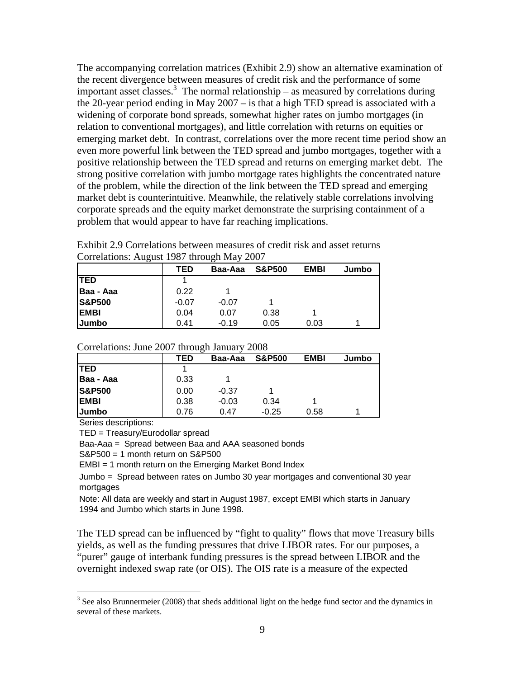The accompanying correlation matrices (Exhibit 2.9) show an alternative examination of the recent divergence between measures of credit risk and the performance of some important asset classes.<sup>3</sup> The normal relationship – as measured by correlations during the 20-year period ending in May 2007 – is that a high TED spread is associated with a widening of corporate bond spreads, somewhat higher rates on jumbo mortgages (in relation to conventional mortgages), and little correlation with returns on equities or emerging market debt. In contrast, correlations over the more recent time period show an even more powerful link between the TED spread and jumbo mortgages, together with a positive relationship between the TED spread and returns on emerging market debt. The strong positive correlation with jumbo mortgage rates highlights the concentrated nature of the problem, while the direction of the link between the TED spread and emerging market debt is counterintuitive. Meanwhile, the relatively stable correlations involving corporate spreads and the equity market demonstrate the surprising containment of a problem that would appear to have far reaching implications.

Correlations: August 1987 through May 2007 **TED Baa-Aaa S&P500 EMBI Jumbo TED** 1

Exhibit 2.9 Correlations between measures of credit risk and asset returns

|                   | TED   | Baa-Aaa | <b>S&amp;P500</b> | <b>EMBI</b> | Jumbo |
|-------------------|-------|---------|-------------------|-------------|-------|
| <b>ITED</b>       |       |         |                   |             |       |
| lBaa - Aaa        | 0.22  |         |                   |             |       |
| <b>S&amp;P500</b> | -0.07 | $-0.07$ |                   |             |       |
| <b>EMBI</b>       | 0.04  | 0.07    | 0.38              |             |       |
| lJumbo            | 0.41  | $-0.19$ | 0.05              | 0.03        |       |

Correlations: June 2007 through January 2008

|                   | TED  | Baa-Aaa | <b>S&amp;P500</b> | <b>EMBI</b> | Jumbo |
|-------------------|------|---------|-------------------|-------------|-------|
| lTED              |      |         |                   |             |       |
| <b>Baa - Aaa</b>  | 0.33 |         |                   |             |       |
| <b>S&amp;P500</b> | 0.00 | $-0.37$ |                   |             |       |
| <b>EMBI</b>       | 0.38 | $-0.03$ | 0.34              |             |       |
| lJumbo            | 0.76 | 0.47    | $-0.25$           | 0.58        |       |

Series descriptions:

1

TED = Treasury/Eurodollar spread

Baa-Aaa = Spread between Baa and AAA seasoned bonds

S&P500 = 1 month return on S&P500

EMBI = 1 month return on the Emerging Market Bond Index

Jumbo = Spread between rates on Jumbo 30 year mortgages and conventional 30 year mortgages

Note: All data are weekly and start in August 1987, except EMBI which starts in January 1994 and Jumbo which starts in June 1998.

The TED spread can be influenced by "fight to quality" flows that move Treasury bills yields, as well as the funding pressures that drive LIBOR rates. For our purposes, a "purer" gauge of interbank funding pressures is the spread between LIBOR and the overnight indexed swap rate (or OIS). The OIS rate is a measure of the expected

 $3$  See also Brunnermeier (2008) that sheds additional light on the hedge fund sector and the dynamics in several of these markets.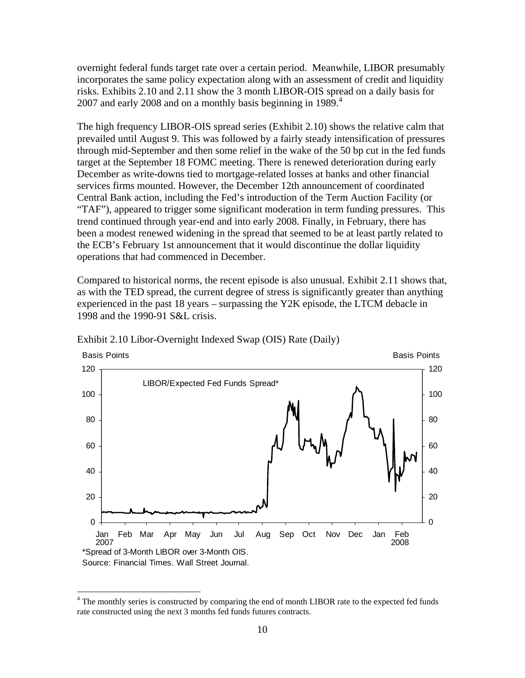overnight federal funds target rate over a certain period. Meanwhile, LIBOR presumably incorporates the same policy expectation along with an assessment of credit and liquidity risks. Exhibits 2.10 and 2.11 show the 3 month LIBOR-OIS spread on a daily basis for 2007 and early 2008 and on a monthly basis beginning in  $1989<sup>4</sup>$ .

The high frequency LIBOR-OIS spread series (Exhibit 2.10) shows the relative calm that prevailed until August 9. This was followed by a fairly steady intensification of pressures through mid-September and then some relief in the wake of the 50 bp cut in the fed funds target at the September 18 FOMC meeting. There is renewed deterioration during early December as write-downs tied to mortgage-related losses at banks and other financial services firms mounted. However, the December 12th announcement of coordinated Central Bank action, including the Fed's introduction of the Term Auction Facility (or "TAF"), appeared to trigger some significant moderation in term funding pressures. This trend continued through year-end and into early 2008. Finally, in February, there has been a modest renewed widening in the spread that seemed to be at least partly related to the ECB's February 1st announcement that it would discontinue the dollar liquidity operations that had commenced in December.

Compared to historical norms, the recent episode is also unusual. Exhibit 2.11 shows that, as with the TED spread, the current degree of stress is significantly greater than anything experienced in the past 18 years – surpassing the Y2K episode, the LTCM debacle in 1998 and the 1990-91 S&L crisis.



Exhibit 2.10 Libor-Overnight Indexed Swap (OIS) Rate (Daily)

1

<sup>&</sup>lt;sup>4</sup> The monthly series is constructed by comparing the end of month LIBOR rate to the expected fed funds rate constructed using the next 3 months fed funds futures contracts.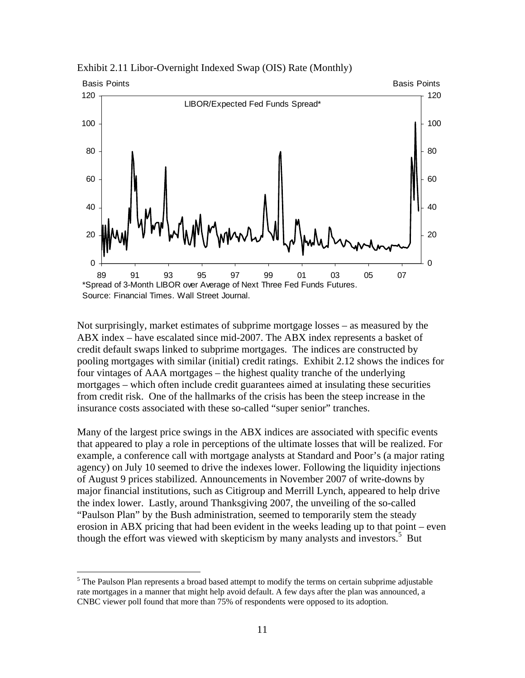

Exhibit 2.11 Libor-Overnight Indexed Swap (OIS) Rate (Monthly)

Not surprisingly, market estimates of subprime mortgage losses – as measured by the ABX index – have escalated since mid-2007. The ABX index represents a basket of credit default swaps linked to subprime mortgages. The indices are constructed by pooling mortgages with similar (initial) credit ratings. Exhibit 2.12 shows the indices for four vintages of AAA mortgages – the highest quality tranche of the underlying mortgages – which often include credit guarantees aimed at insulating these securities from credit risk. One of the hallmarks of the crisis has been the steep increase in the insurance costs associated with these so-called "super senior" tranches.

Many of the largest price swings in the ABX indices are associated with specific events that appeared to play a role in perceptions of the ultimate losses that will be realized. For example, a conference call with mortgage analysts at Standard and Poor's (a major rating agency) on July 10 seemed to drive the indexes lower. Following the liquidity injections of August 9 prices stabilized. Announcements in November 2007 of write-downs by major financial institutions, such as Citigroup and Merrill Lynch, appeared to help drive the index lower. Lastly, around Thanksgiving 2007, the unveiling of the so-called "Paulson Plan" by the Bush administration, seemed to temporarily stem the steady erosion in ABX pricing that had been evident in the weeks leading up to that point – even though the effort was viewed with skepticism by many analysts and investors.<sup>5</sup> But

 $\overline{a}$ 

 $<sup>5</sup>$  The Paulson Plan represents a broad based attempt to modify the terms on certain subprime adjustable</sup> rate mortgages in a manner that might help avoid default. A few days after the plan was announced, a CNBC viewer poll found that more than 75% of respondents were opposed to its adoption.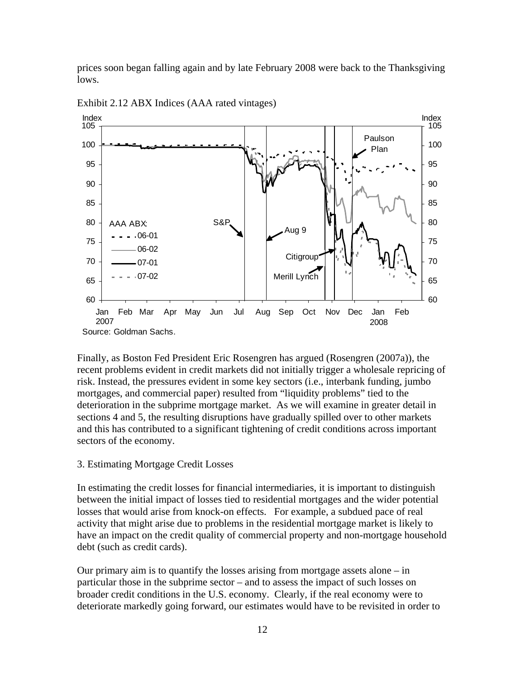prices soon began falling again and by late February 2008 were back to the Thanksgiving lows.



Exhibit 2.12 ABX Indices (AAA rated vintages)

Finally, as Boston Fed President Eric Rosengren has argued (Rosengren (2007a)), the recent problems evident in credit markets did not initially trigger a wholesale repricing of risk. Instead, the pressures evident in some key sectors (i.e., interbank funding, jumbo mortgages, and commercial paper) resulted from "liquidity problems" tied to the deterioration in the subprime mortgage market. As we will examine in greater detail in sections 4 and 5, the resulting disruptions have gradually spilled over to other markets and this has contributed to a significant tightening of credit conditions across important sectors of the economy.

#### 3. Estimating Mortgage Credit Losses

In estimating the credit losses for financial intermediaries, it is important to distinguish between the initial impact of losses tied to residential mortgages and the wider potential losses that would arise from knock-on effects. For example, a subdued pace of real activity that might arise due to problems in the residential mortgage market is likely to have an impact on the credit quality of commercial property and non-mortgage household debt (such as credit cards).

Our primary aim is to quantify the losses arising from mortgage assets alone  $-\text{in}$ particular those in the subprime sector – and to assess the impact of such losses on broader credit conditions in the U.S. economy. Clearly, if the real economy were to deteriorate markedly going forward, our estimates would have to be revisited in order to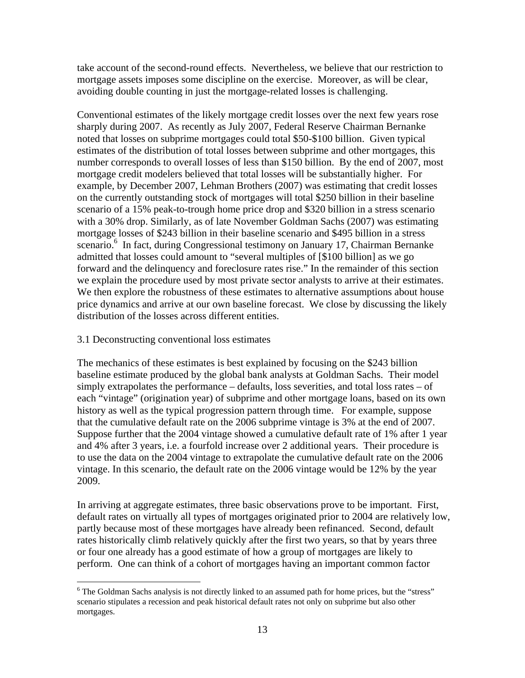take account of the second-round effects. Nevertheless, we believe that our restriction to mortgage assets imposes some discipline on the exercise. Moreover, as will be clear, avoiding double counting in just the mortgage-related losses is challenging.

Conventional estimates of the likely mortgage credit losses over the next few years rose sharply during 2007. As recently as July 2007, Federal Reserve Chairman Bernanke noted that losses on subprime mortgages could total \$50-\$100 billion. Given typical estimates of the distribution of total losses between subprime and other mortgages, this number corresponds to overall losses of less than \$150 billion. By the end of 2007, most mortgage credit modelers believed that total losses will be substantially higher. For example, by December 2007, Lehman Brothers (2007) was estimating that credit losses on the currently outstanding stock of mortgages will total \$250 billion in their baseline scenario of a 15% peak-to-trough home price drop and \$320 billion in a stress scenario with a 30% drop. Similarly, as of late November Goldman Sachs (2007) was estimating mortgage losses of \$243 billion in their baseline scenario and \$495 billion in a stress scenario.<sup>6</sup> In fact, during Congressional testimony on January 17, Chairman Bernanke admitted that losses could amount to "several multiples of [\$100 billion] as we go forward and the delinquency and foreclosure rates rise." In the remainder of this section we explain the procedure used by most private sector analysts to arrive at their estimates. We then explore the robustness of these estimates to alternative assumptions about house price dynamics and arrive at our own baseline forecast. We close by discussing the likely distribution of the losses across different entities.

### 3.1 Deconstructing conventional loss estimates

 $\overline{a}$ 

The mechanics of these estimates is best explained by focusing on the \$243 billion baseline estimate produced by the global bank analysts at Goldman Sachs. Their model simply extrapolates the performance – defaults, loss severities, and total loss rates – of each "vintage" (origination year) of subprime and other mortgage loans, based on its own history as well as the typical progression pattern through time. For example, suppose that the cumulative default rate on the 2006 subprime vintage is 3% at the end of 2007. Suppose further that the 2004 vintage showed a cumulative default rate of 1% after 1 year and 4% after 3 years, i.e. a fourfold increase over 2 additional years. Their procedure is to use the data on the 2004 vintage to extrapolate the cumulative default rate on the 2006 vintage. In this scenario, the default rate on the 2006 vintage would be 12% by the year 2009.

In arriving at aggregate estimates, three basic observations prove to be important. First, default rates on virtually all types of mortgages originated prior to 2004 are relatively low, partly because most of these mortgages have already been refinanced. Second, default rates historically climb relatively quickly after the first two years, so that by years three or four one already has a good estimate of how a group of mortgages are likely to perform. One can think of a cohort of mortgages having an important common factor

<sup>&</sup>lt;sup>6</sup> The Goldman Sachs analysis is not directly linked to an assumed path for home prices, but the "stress" scenario stipulates a recession and peak historical default rates not only on subprime but also other mortgages.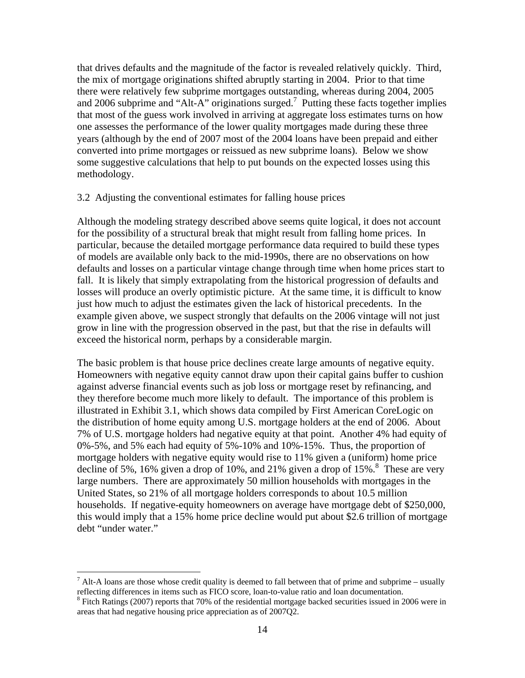that drives defaults and the magnitude of the factor is revealed relatively quickly. Third, the mix of mortgage originations shifted abruptly starting in 2004. Prior to that time there were relatively few subprime mortgages outstanding, whereas during 2004, 2005 and 2006 subprime and "Alt-A" originations surged.7 Putting these facts together implies that most of the guess work involved in arriving at aggregate loss estimates turns on how one assesses the performance of the lower quality mortgages made during these three years (although by the end of 2007 most of the 2004 loans have been prepaid and either converted into prime mortgages or reissued as new subprime loans). Below we show some suggestive calculations that help to put bounds on the expected losses using this methodology.

### 3.2 Adjusting the conventional estimates for falling house prices

Although the modeling strategy described above seems quite logical, it does not account for the possibility of a structural break that might result from falling home prices. In particular, because the detailed mortgage performance data required to build these types of models are available only back to the mid-1990s, there are no observations on how defaults and losses on a particular vintage change through time when home prices start to fall. It is likely that simply extrapolating from the historical progression of defaults and losses will produce an overly optimistic picture. At the same time, it is difficult to know just how much to adjust the estimates given the lack of historical precedents. In the example given above, we suspect strongly that defaults on the 2006 vintage will not just grow in line with the progression observed in the past, but that the rise in defaults will exceed the historical norm, perhaps by a considerable margin.

The basic problem is that house price declines create large amounts of negative equity. Homeowners with negative equity cannot draw upon their capital gains buffer to cushion against adverse financial events such as job loss or mortgage reset by refinancing, and they therefore become much more likely to default. The importance of this problem is illustrated in Exhibit 3.1, which shows data compiled by First American CoreLogic on the distribution of home equity among U.S. mortgage holders at the end of 2006. About 7% of U.S. mortgage holders had negative equity at that point. Another 4% had equity of 0%-5%, and 5% each had equity of 5%-10% and 10%-15%. Thus, the proportion of mortgage holders with negative equity would rise to 11% given a (uniform) home price decline of 5%, 16% given a drop of 10%, and 21% given a drop of 15%.<sup>8</sup> These are very large numbers. There are approximately 50 million households with mortgages in the United States, so 21% of all mortgage holders corresponds to about 10.5 million households. If negative-equity homeowners on average have mortgage debt of \$250,000, this would imply that a 15% home price decline would put about \$2.6 trillion of mortgage debt "under water."

 $\overline{a}$ 

 $<sup>7</sup>$  Alt-A loans are those whose credit quality is deemed to fall between that of prime and subprime – usually</sup> reflecting differences in items such as FICO score, loan-to-value ratio and loan documentation. 8

 $8$  Fitch Ratings (2007) reports that 70% of the residential mortgage backed securities issued in 2006 were in areas that had negative housing price appreciation as of 2007Q2.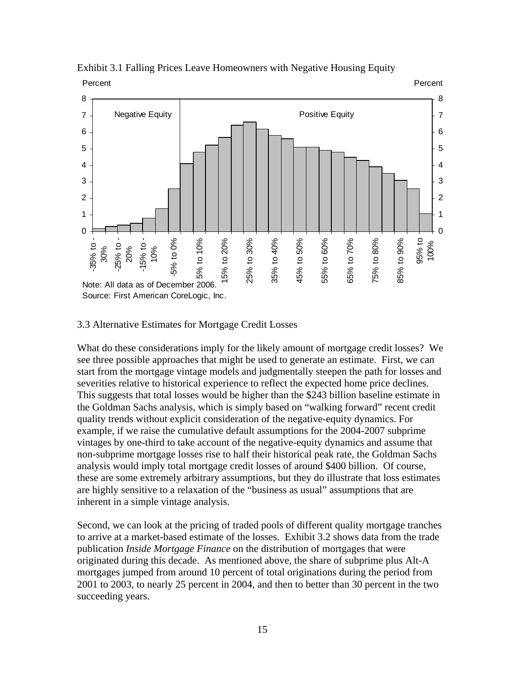

Exhibit 3.1 Falling Prices Leave Homeowners with Negative Housing Equity

# 3.3 Alternative Estimates for Mortgage Credit Losses

What do these considerations imply for the likely amount of mortgage credit losses? We see three possible approaches that might be used to generate an estimate. First, we can start from the mortgage vintage models and judgmentally steepen the path for losses and severities relative to historical experience to reflect the expected home price declines. This suggests that total losses would be higher than the \$243 billion baseline estimate in the Goldman Sachs analysis, which is simply based on "walking forward" recent credit quality trends without explicit consideration of the negative-equity dynamics. For example, if we raise the cumulative default assumptions for the 2004-2007 subprime vintages by one-third to take account of the negative-equity dynamics and assume that non-subprime mortgage losses rise to half their historical peak rate, the Goldman Sachs analysis would imply total mortgage credit losses of around \$400 billion. Of course, these are some extremely arbitrary assumptions, but they do illustrate that loss estimates are highly sensitive to a relaxation of the "business as usual" assumptions that are inherent in a simple vintage analysis.

Second, we can look at the pricing of traded pools of different quality mortgage tranches to arrive at a market-based estimate of the losses. Exhibit 3.2 shows data from the trade publication *Inside Mortgage Finance* on the distribution of mortgages that were originated during this decade. As mentioned above, the share of subprime plus Alt-A mortgages jumped from around 10 percent of total originations during the period from 2001 to 2003, to nearly 25 percent in 2004, and then to better than 30 percent in the two succeeding years.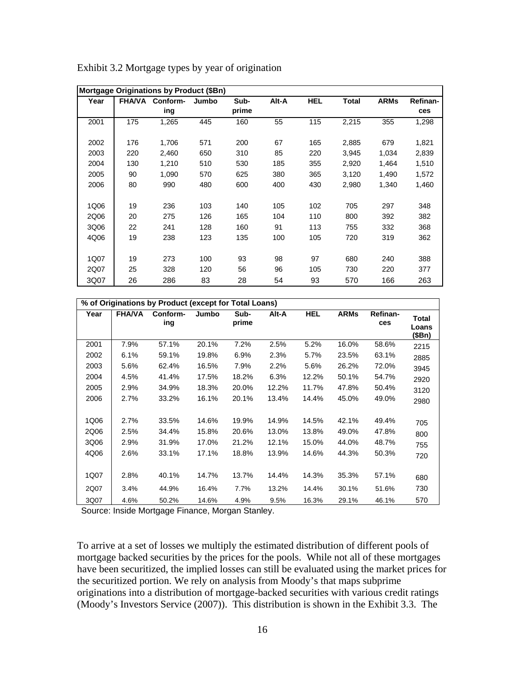|      |               | <b>Mortgage Originations by Product (\$Bn)</b> |       |       |       |            |       |             |            |
|------|---------------|------------------------------------------------|-------|-------|-------|------------|-------|-------------|------------|
| Year | <b>FHA/VA</b> | Conform-                                       | Jumbo | Sub-  | Alt-A | <b>HEL</b> | Total | <b>ARMs</b> | Refinan-   |
|      |               | ing                                            |       | prime |       |            |       |             | <b>ces</b> |
| 2001 | 175           | 1,265                                          | 445   | 160   | 55    | 115        | 2,215 | 355         | 1,298      |
|      |               |                                                |       |       |       |            |       |             |            |
| 2002 | 176           | 1,706                                          | 571   | 200   | 67    | 165        | 2,885 | 679         | 1,821      |
| 2003 | 220           | 2,460                                          | 650   | 310   | 85    | 220        | 3,945 | 1,034       | 2,839      |
| 2004 | 130           | 1,210                                          | 510   | 530   | 185   | 355        | 2,920 | 1,464       | 1,510      |
| 2005 | 90            | 1,090                                          | 570   | 625   | 380   | 365        | 3,120 | 1,490       | 1,572      |
| 2006 | 80            | 990                                            | 480   | 600   | 400   | 430        | 2,980 | 1,340       | 1,460      |
|      |               |                                                |       |       |       |            |       |             |            |
| 1Q06 | 19            | 236                                            | 103   | 140   | 105   | 102        | 705   | 297         | 348        |
| 2Q06 | 20            | 275                                            | 126   | 165   | 104   | 110        | 800   | 392         | 382        |
| 3Q06 | 22            | 241                                            | 128   | 160   | 91    | 113        | 755   | 332         | 368        |
| 4Q06 | 19            | 238                                            | 123   | 135   | 100   | 105        | 720   | 319         | 362        |
|      |               |                                                |       |       |       |            |       |             |            |
| 1Q07 | 19            | 273                                            | 100   | 93    | 98    | 97         | 680   | 240         | 388        |
| 2Q07 | 25            | 328                                            | 120   | 56    | 96    | 105        | 730   | 220         | 377        |
| 3Q07 | 26            | 286                                            | 83    | 28    | 54    | 93         | 570   | 166         | 263        |

| Exhibit 3.2 Mortgage types by year of origination |  |  |  |  |
|---------------------------------------------------|--|--|--|--|
|---------------------------------------------------|--|--|--|--|

|      |               | % of Originations by Product (except for Total Loans) |       |               |       |            |             |                 |                          |
|------|---------------|-------------------------------------------------------|-------|---------------|-------|------------|-------------|-----------------|--------------------------|
| Year | <b>FHA/VA</b> | Conform-<br>ing                                       | Jumbo | Sub-<br>prime | Alt-A | <b>HEL</b> | <b>ARMs</b> | Refinan-<br>ces | Total<br>Loans<br>(\$Bn) |
| 2001 | 7.9%          | 57.1%                                                 | 20.1% | 7.2%          | 2.5%  | 5.2%       | 16.0%       | 58.6%           | 2215                     |
| 2002 | 6.1%          | 59.1%                                                 | 19.8% | 6.9%          | 2.3%  | 5.7%       | 23.5%       | 63.1%           | 2885                     |
| 2003 | 5.6%          | 62.4%                                                 | 16.5% | 7.9%          | 2.2%  | 5.6%       | 26.2%       | 72.0%           | 3945                     |
| 2004 | 4.5%          | 41.4%                                                 | 17.5% | 18.2%         | 6.3%  | 12.2%      | 50.1%       | 54.7%           | 2920                     |
| 2005 | 2.9%          | 34.9%                                                 | 18.3% | 20.0%         | 12.2% | 11.7%      | 47.8%       | 50.4%           | 3120                     |
| 2006 | 2.7%          | 33.2%                                                 | 16.1% | 20.1%         | 13.4% | 14.4%      | 45.0%       | 49.0%           | 2980                     |
| 1Q06 | 2.7%          | 33.5%                                                 | 14.6% | 19.9%         | 14.9% | 14.5%      | 42.1%       | 49.4%           | 705                      |
| 2Q06 | 2.5%          | 34.4%                                                 | 15.8% | 20.6%         | 13.0% | 13.8%      | 49.0%       | 47.8%           | 800                      |
| 3Q06 | 2.9%          | 31.9%                                                 | 17.0% | 21.2%         | 12.1% | 15.0%      | 44.0%       | 48.7%           | 755                      |
| 4Q06 | 2.6%          | 33.1%                                                 | 17.1% | 18.8%         | 13.9% | 14.6%      | 44.3%       | 50.3%           | 720                      |
| 1Q07 | 2.8%          | 40.1%                                                 | 14.7% | 13.7%         | 14.4% | 14.3%      | 35.3%       | 57.1%           | 680                      |
| 2Q07 | 3.4%          | 44.9%                                                 | 16.4% | 7.7%          | 13.2% | 14.4%      | 30.1%       | 51.6%           | 730                      |
| 3Q07 | 4.6%          | 50.2%                                                 | 14.6% | 4.9%          | 9.5%  | 16.3%      | 29.1%       | 46.1%           | 570                      |

Source: Inside Mortgage Finance, Morgan Stanley.

To arrive at a set of losses we multiply the estimated distribution of different pools of mortgage backed securities by the prices for the pools. While not all of these mortgages have been securitized, the implied losses can still be evaluated using the market prices for the securitized portion. We rely on analysis from Moody's that maps subprime originations into a distribution of mortgage-backed securities with various credit ratings (Moody's Investors Service (2007)). This distribution is shown in the Exhibit 3.3. The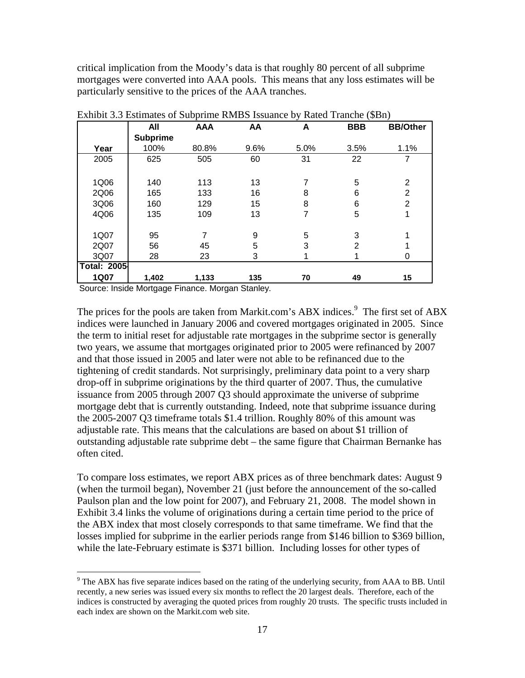critical implication from the Moody's data is that roughly 80 percent of all subprime mortgages were converted into AAA pools. This means that any loss estimates will be particularly sensitive to the prices of the AAA tranches.

|                     |                 |                |      |                | $\sim$     |                 |
|---------------------|-----------------|----------------|------|----------------|------------|-----------------|
|                     | All             | <b>AAA</b>     | AA   | A              | <b>BBB</b> | <b>BB/Other</b> |
|                     | <b>Subprime</b> |                |      |                |            |                 |
| Year                | 100%            | 80.8%          | 9.6% | 5.0%           | 3.5%       | 1.1%            |
| 2005                | 625             | 505            | 60   | 31             | 22         | 7               |
|                     |                 |                |      |                |            |                 |
| 1Q06                | 140             | 113            | 13   |                | 5          | $\overline{2}$  |
| 2Q06                | 165             | 133            | 16   | 8              | 6          | $\overline{2}$  |
| 3Q06                | 160             | 129            | 15   | 8              | 6          | $\overline{2}$  |
| 4Q06                | 135             | 109            | 13   | $\overline{7}$ | 5          |                 |
|                     |                 |                |      |                |            |                 |
| 1Q07                | 95              | $\overline{7}$ | 9    | 5              | 3          |                 |
| 2Q07                | 56              | 45             | 5    | 3              | 2          |                 |
| 3Q07                | 28              | 23             | 3    |                |            | 0               |
| <b>Total: 2005-</b> |                 |                |      |                |            |                 |
| 1Q07                | 1,402           | 1,133          | 135  | 70             | 49         | 15              |

Exhibit 3.3 Estimates of Subprime RMBS Issuance by Rated Tranche (\$Bn)

Source: Inside Mortgage Finance. Morgan Stanley.

 $\overline{a}$ 

The prices for the pools are taken from Markit.com's ABX indices.<sup>9</sup> The first set of ABX indices were launched in January 2006 and covered mortgages originated in 2005. Since the term to initial reset for adjustable rate mortgages in the subprime sector is generally two years, we assume that mortgages originated prior to 2005 were refinanced by 2007 and that those issued in 2005 and later were not able to be refinanced due to the tightening of credit standards. Not surprisingly, preliminary data point to a very sharp drop-off in subprime originations by the third quarter of 2007. Thus, the cumulative issuance from 2005 through 2007 Q3 should approximate the universe of subprime mortgage debt that is currently outstanding. Indeed, note that subprime issuance during the 2005-2007 Q3 timeframe totals \$1.4 trillion. Roughly 80% of this amount was adjustable rate. This means that the calculations are based on about \$1 trillion of outstanding adjustable rate subprime debt – the same figure that Chairman Bernanke has often cited.

To compare loss estimates, we report ABX prices as of three benchmark dates: August 9 (when the turmoil began), November 21 (just before the announcement of the so-called Paulson plan and the low point for 2007), and February 21, 2008. The model shown in Exhibit 3.4 links the volume of originations during a certain time period to the price of the ABX index that most closely corresponds to that same timeframe. We find that the losses implied for subprime in the earlier periods range from \$146 billion to \$369 billion, while the late-February estimate is \$371 billion. Including losses for other types of

 $9^9$  The ABX has five separate indices based on the rating of the underlying security, from AAA to BB. Until recently, a new series was issued every six months to reflect the 20 largest deals. Therefore, each of the indices is constructed by averaging the quoted prices from roughly 20 trusts. The specific trusts included in each index are shown on the Markit.com web site.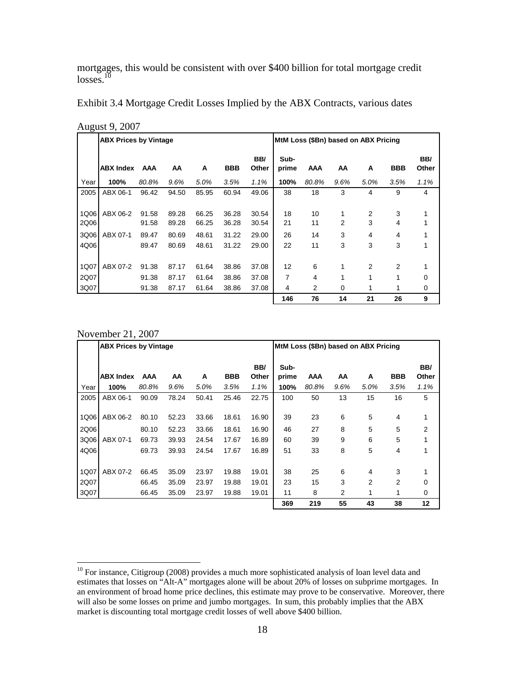mortgages, this would be consistent with over \$400 billion for total mortgage credit  $losses.<sup>10</sup>$ 

|  | Exhibit 3.4 Mortgage Credit Losses Implied by the ABX Contracts, various dates |  |  |  |  |
|--|--------------------------------------------------------------------------------|--|--|--|--|
|--|--------------------------------------------------------------------------------|--|--|--|--|

August 9, 2007

|      | <b>ABX Prices by Vintage</b> |            |       |       |            |              |               | MtM Loss (\$Bn) based on ABX Pricing |      |      |            |              |
|------|------------------------------|------------|-------|-------|------------|--------------|---------------|--------------------------------------|------|------|------------|--------------|
|      | <b>ABX Index</b>             | <b>AAA</b> | AA    | A     | <b>BBB</b> | BB/<br>Other | Sub-<br>prime | AAA                                  | AA   | A    | <b>BBB</b> | BB/<br>Other |
| Year | 100%                         | 80.8%      | 9.6%  | 5.0%  | 3.5%       | 1.1%         | 100%          | 80.8%                                | 9.6% | 5.0% | 3.5%       | 1.1%         |
| 2005 | ABX 06-1                     | 96.42      | 94.50 | 85.95 | 60.94      | 49.06        | 38            | 18                                   | 3    | 4    | 9          | 4            |
|      |                              |            |       |       |            |              |               |                                      |      |      |            |              |
| 1Q06 | ABX 06-2                     | 91.58      | 89.28 | 66.25 | 36.28      | 30.54        | 18            | 10                                   | 1    | 2    | 3          | 1            |
| 2Q06 |                              | 91.58      | 89.28 | 66.25 | 36.28      | 30.54        | 21            | 11                                   | 2    | 3    | 4          | 1            |
| 3Q06 | ABX 07-1                     | 89.47      | 80.69 | 48.61 | 31.22      | 29.00        | 26            | 14                                   | 3    | 4    | 4          | 1            |
| 4Q06 |                              | 89.47      | 80.69 | 48.61 | 31.22      | 29.00        | 22            | 11                                   | 3    | 3    | 3          | 1            |
|      |                              |            |       |       |            |              |               |                                      |      |      |            |              |
| 1Q07 | ABX 07-2                     | 91.38      | 87.17 | 61.64 | 38.86      | 37.08        | 12            | 6                                    | 1    | 2    | 2          |              |
| 2Q07 |                              | 91.38      | 87.17 | 61.64 | 38.86      | 37.08        | 7             | 4                                    | 1    | 1    | 1          | 0            |
| 3Q07 |                              | 91.38      | 87.17 | 61.64 | 38.86      | 37.08        | 4             | 2                                    | 0    | 1    | 1          | 0            |
|      |                              |            |       |       |            |              | 146           | 76                                   | 14   | 21   | 26         | 9            |

November 21, 2007

1

|      | <b>ABX Prices by Vintage</b> |                     |            |           |                    |                      |                       | MtM Loss (\$Bn) based on ABX Pricing |            |           |                    |                      |
|------|------------------------------|---------------------|------------|-----------|--------------------|----------------------|-----------------------|--------------------------------------|------------|-----------|--------------------|----------------------|
| Year | <b>ABX Index</b><br>100%     | <b>AAA</b><br>80.8% | AA<br>9.6% | A<br>5.0% | <b>BBB</b><br>3.5% | BB/<br>Other<br>1.1% | Sub-<br>prime<br>100% | AAA<br>80.8%                         | AA<br>9.6% | A<br>5.0% | <b>BBB</b><br>3.5% | BB/<br>Other<br>1.1% |
| 2005 | ABX 06-1                     | 90.09               | 78.24      | 50.41     | 25.46              | 22.75                | 100                   | 50                                   | 13         | 15        | 16                 | 5                    |
| 1Q06 | ABX 06-2                     | 80.10               | 52.23      | 33.66     | 18.61              | 16.90                | 39                    | 23                                   | 6          | 5         | 4                  |                      |
| 2Q06 |                              | 80.10               | 52.23      | 33.66     | 18.61              | 16.90                | 46                    | 27                                   | 8          | 5         | 5                  | $\overline{2}$       |
| 3Q06 | ABX 07-1                     | 69.73               | 39.93      | 24.54     | 17.67              | 16.89                | 60                    | 39                                   | 9          | 6         | 5                  | 1                    |
| 4Q06 |                              | 69.73               | 39.93      | 24.54     | 17.67              | 16.89                | 51                    | 33                                   | 8          | 5         | 4                  | 1                    |
|      |                              |                     |            |           |                    |                      |                       |                                      |            |           |                    |                      |
| 1Q07 | ABX 07-2                     | 66.45               | 35.09      | 23.97     | 19.88              | 19.01                | 38                    | 25                                   | 6          | 4         | 3                  |                      |
| 2Q07 |                              | 66.45               | 35.09      | 23.97     | 19.88              | 19.01                | 23                    | 15                                   | 3          | 2         | 2                  | 0                    |
| 3Q07 |                              | 66.45               | 35.09      | 23.97     | 19.88              | 19.01                | 11                    | 8                                    | 2          | 1         | 1                  | 0                    |
|      |                              |                     |            |           |                    |                      | 369                   | 219                                  | 55         | 43        | 38                 | 12                   |

 $10$  For instance, Citigroup (2008) provides a much more sophisticated analysis of loan level data and estimates that losses on "Alt-A" mortgages alone will be about 20% of losses on subprime mortgages. In an environment of broad home price declines, this estimate may prove to be conservative. Moreover, there will also be some losses on prime and jumbo mortgages. In sum, this probably implies that the ABX market is discounting total mortgage credit losses of well above \$400 billion.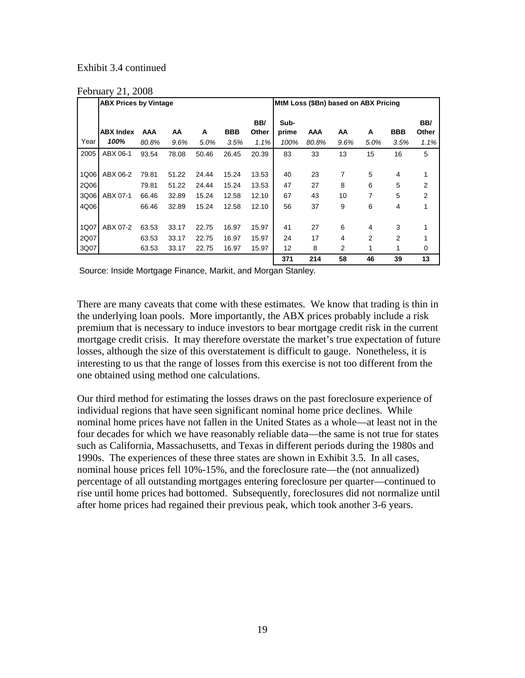### Exhibit 3.4 continued

| February 21, 2008 |  |
|-------------------|--|
|-------------------|--|

|                              | <b>ABX Prices by Vintage</b> |                                  |                                  |                                  |                                  |                                  | MtM Loss (\$Bn) based on ABX Pricing |                      |                   |                  |                    |                               |
|------------------------------|------------------------------|----------------------------------|----------------------------------|----------------------------------|----------------------------------|----------------------------------|--------------------------------------|----------------------|-------------------|------------------|--------------------|-------------------------------|
| Year                         | <b>ABX Index</b><br>100%     | <b>AAA</b><br>80.8%              | AA<br>9.6%                       | A<br>5.0%                        | <b>BBB</b><br>3.5%               | BB/<br>Other<br>1.1%             | Sub-<br>prime<br>100%                | AAA<br>80.8%         | AA<br>9.6%        | A<br>5.0%        | <b>BBB</b><br>3.5% | BB/<br>Other<br>1.1%          |
| 2005                         | ABX 06-1                     | 93.54                            | 78.08                            | 50.46                            | 26.45                            | 20.39                            | 83                                   | 33                   | 13                | 15               | 16                 | 5                             |
| 1Q06<br>2Q06<br>3Q06<br>4Q06 | ABX 06-2<br>ABX 07-1         | 79.81<br>79.81<br>66.46<br>66.46 | 51.22<br>51.22<br>32.89<br>32.89 | 24.44<br>24.44<br>15.24<br>15.24 | 15.24<br>15.24<br>12.58<br>12.58 | 13.53<br>13.53<br>12.10<br>12.10 | 40<br>47<br>67<br>56                 | 23<br>27<br>43<br>37 | 7<br>8<br>10<br>9 | 5<br>6<br>7<br>6 | 4<br>5<br>5<br>4   | 1<br>2<br>$\overline{2}$<br>1 |
| 1Q07<br>2Q07<br>3Q07         | ABX 07-2                     | 63.53<br>63.53<br>63.53          | 33.17<br>33.17<br>33.17          | 22.75<br>22.75<br>22.75          | 16.97<br>16.97<br>16.97          | 15.97<br>15.97<br>15.97          | 41<br>24<br>12                       | 27<br>17<br>8        | 6<br>4<br>2       | 4<br>2<br>1      | 3<br>2<br>1        | 1<br>0                        |
|                              |                              |                                  |                                  |                                  |                                  |                                  | 371                                  | 214                  | 58                | 46               | 39                 | 13                            |

Source: Inside Mortgage Finance, Markit, and Morgan Stanley.

There are many caveats that come with these estimates. We know that trading is thin in the underlying loan pools. More importantly, the ABX prices probably include a risk premium that is necessary to induce investors to bear mortgage credit risk in the current mortgage credit crisis. It may therefore overstate the market's true expectation of future losses, although the size of this overstatement is difficult to gauge. Nonetheless, it is interesting to us that the range of losses from this exercise is not too different from the one obtained using method one calculations.

Our third method for estimating the losses draws on the past foreclosure experience of individual regions that have seen significant nominal home price declines. While nominal home prices have not fallen in the United States as a whole—at least not in the four decades for which we have reasonably reliable data—the same is not true for states such as California, Massachusetts, and Texas in different periods during the 1980s and 1990s. The experiences of these three states are shown in Exhibit 3.5. In all cases, nominal house prices fell 10%-15%, and the foreclosure rate—the (not annualized) percentage of all outstanding mortgages entering foreclosure per quarter—continued to rise until home prices had bottomed. Subsequently, foreclosures did not normalize until after home prices had regained their previous peak, which took another 3-6 years.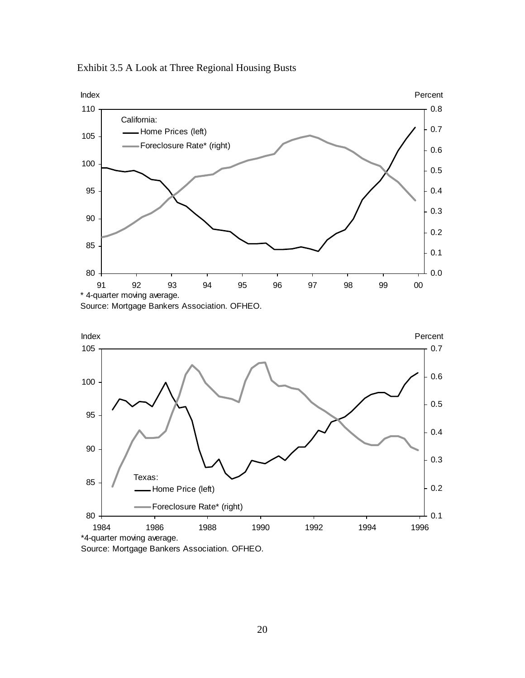

Exhibit 3.5 A Look at Three Regional Housing Busts



Source: Mortgage Bankers Association. OFHEO.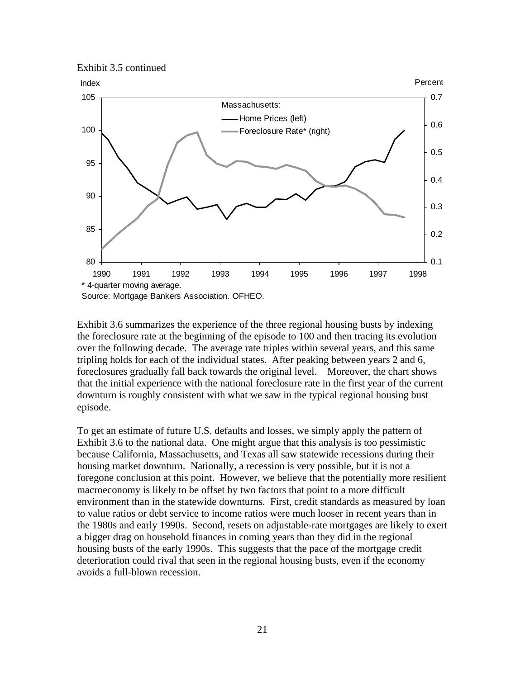



Exhibit 3.6 summarizes the experience of the three regional housing busts by indexing the foreclosure rate at the beginning of the episode to 100 and then tracing its evolution over the following decade. The average rate triples within several years, and this same tripling holds for each of the individual states. After peaking between years 2 and 6, foreclosures gradually fall back towards the original level. Moreover, the chart shows that the initial experience with the national foreclosure rate in the first year of the current downturn is roughly consistent with what we saw in the typical regional housing bust episode.

To get an estimate of future U.S. defaults and losses, we simply apply the pattern of Exhibit 3.6 to the national data. One might argue that this analysis is too pessimistic because California, Massachusetts, and Texas all saw statewide recessions during their housing market downturn. Nationally, a recession is very possible, but it is not a foregone conclusion at this point. However, we believe that the potentially more resilient macroeconomy is likely to be offset by two factors that point to a more difficult environment than in the statewide downturns. First, credit standards as measured by loan to value ratios or debt service to income ratios were much looser in recent years than in the 1980s and early 1990s. Second, resets on adjustable-rate mortgages are likely to exert a bigger drag on household finances in coming years than they did in the regional housing busts of the early 1990s. This suggests that the pace of the mortgage credit deterioration could rival that seen in the regional housing busts, even if the economy avoids a full-blown recession.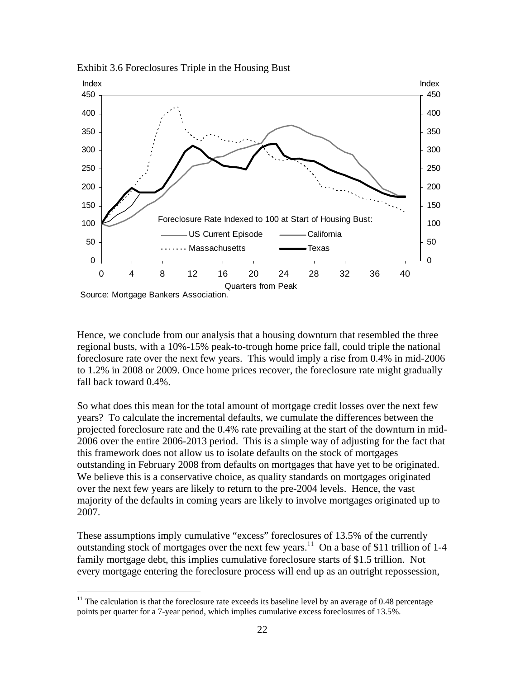

Exhibit 3.6 Foreclosures Triple in the Housing Bust

Hence, we conclude from our analysis that a housing downturn that resembled the three regional busts, with a 10%-15% peak-to-trough home price fall, could triple the national foreclosure rate over the next few years. This would imply a rise from 0.4% in mid-2006 to 1.2% in 2008 or 2009. Once home prices recover, the foreclosure rate might gradually fall back toward 0.4%.

So what does this mean for the total amount of mortgage credit losses over the next few years? To calculate the incremental defaults, we cumulate the differences between the projected foreclosure rate and the 0.4% rate prevailing at the start of the downturn in mid-2006 over the entire 2006-2013 period. This is a simple way of adjusting for the fact that this framework does not allow us to isolate defaults on the stock of mortgages outstanding in February 2008 from defaults on mortgages that have yet to be originated. We believe this is a conservative choice, as quality standards on mortgages originated over the next few years are likely to return to the pre-2004 levels. Hence, the vast majority of the defaults in coming years are likely to involve mortgages originated up to 2007.

These assumptions imply cumulative "excess" foreclosures of 13.5% of the currently outstanding stock of mortgages over the next few years.<sup>11</sup> On a base of \$11 trillion of 1-4 family mortgage debt, this implies cumulative foreclosure starts of \$1.5 trillion. Not every mortgage entering the foreclosure process will end up as an outright repossession,

 $\overline{a}$ 

 $11$  The calculation is that the foreclosure rate exceeds its baseline level by an average of 0.48 percentage points per quarter for a 7-year period, which implies cumulative excess foreclosures of 13.5%.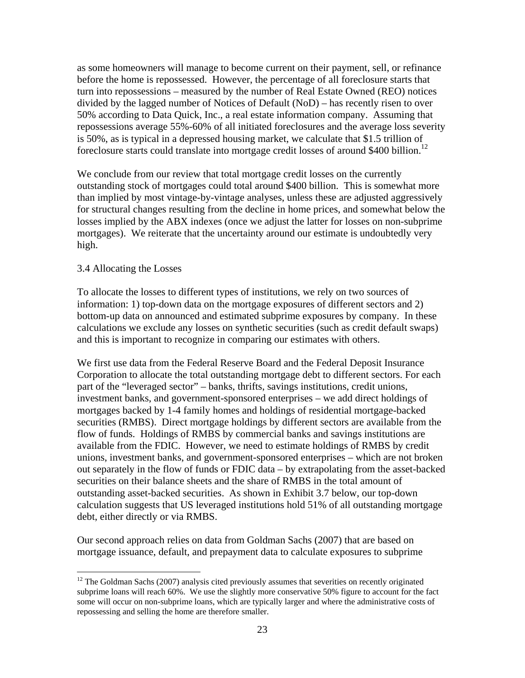as some homeowners will manage to become current on their payment, sell, or refinance before the home is repossessed. However, the percentage of all foreclosure starts that turn into repossessions – measured by the number of Real Estate Owned (REO) notices divided by the lagged number of Notices of Default (NoD) – has recently risen to over 50% according to Data Quick, Inc., a real estate information company. Assuming that repossessions average 55%-60% of all initiated foreclosures and the average loss severity is 50%, as is typical in a depressed housing market, we calculate that \$1.5 trillion of foreclosure starts could translate into mortgage credit losses of around \$400 billion.12

We conclude from our review that total mortgage credit losses on the currently outstanding stock of mortgages could total around \$400 billion. This is somewhat more than implied by most vintage-by-vintage analyses, unless these are adjusted aggressively for structural changes resulting from the decline in home prices, and somewhat below the losses implied by the ABX indexes (once we adjust the latter for losses on non-subprime mortgages). We reiterate that the uncertainty around our estimate is undoubtedly very high.

### 3.4 Allocating the Losses

<u>.</u>

To allocate the losses to different types of institutions, we rely on two sources of information: 1) top-down data on the mortgage exposures of different sectors and 2) bottom-up data on announced and estimated subprime exposures by company. In these calculations we exclude any losses on synthetic securities (such as credit default swaps) and this is important to recognize in comparing our estimates with others.

We first use data from the Federal Reserve Board and the Federal Deposit Insurance Corporation to allocate the total outstanding mortgage debt to different sectors. For each part of the "leveraged sector" – banks, thrifts, savings institutions, credit unions, investment banks, and government-sponsored enterprises – we add direct holdings of mortgages backed by 1-4 family homes and holdings of residential mortgage-backed securities (RMBS). Direct mortgage holdings by different sectors are available from the flow of funds. Holdings of RMBS by commercial banks and savings institutions are available from the FDIC. However, we need to estimate holdings of RMBS by credit unions, investment banks, and government-sponsored enterprises – which are not broken out separately in the flow of funds or FDIC data – by extrapolating from the asset-backed securities on their balance sheets and the share of RMBS in the total amount of outstanding asset-backed securities. As shown in Exhibit 3.7 below, our top-down calculation suggests that US leveraged institutions hold 51% of all outstanding mortgage debt, either directly or via RMBS.

Our second approach relies on data from Goldman Sachs (2007) that are based on mortgage issuance, default, and prepayment data to calculate exposures to subprime

 $12$  The Goldman Sachs (2007) analysis cited previously assumes that severities on recently originated subprime loans will reach 60%. We use the slightly more conservative 50% figure to account for the fact some will occur on non-subprime loans, which are typically larger and where the administrative costs of repossessing and selling the home are therefore smaller.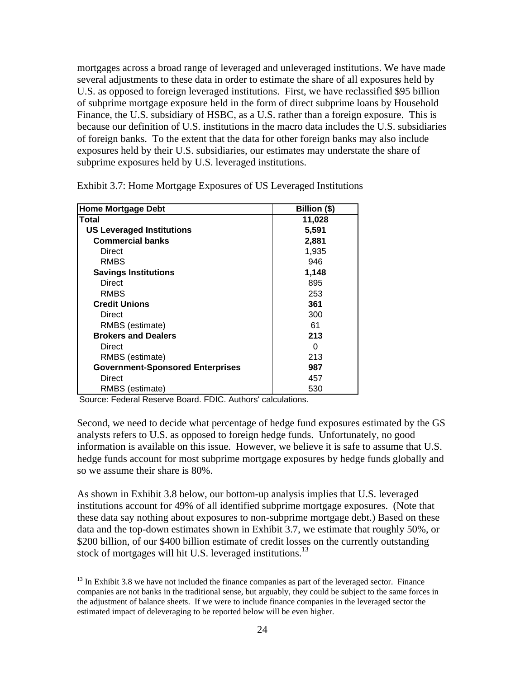mortgages across a broad range of leveraged and unleveraged institutions. We have made several adjustments to these data in order to estimate the share of all exposures held by U.S. as opposed to foreign leveraged institutions. First, we have reclassified \$95 billion of subprime mortgage exposure held in the form of direct subprime loans by Household Finance, the U.S. subsidiary of HSBC, as a U.S. rather than a foreign exposure. This is because our definition of U.S. institutions in the macro data includes the U.S. subsidiaries of foreign banks. To the extent that the data for other foreign banks may also include exposures held by their U.S. subsidiaries, our estimates may understate the share of subprime exposures held by U.S. leveraged institutions.

| <b>Home Mortgage Debt</b>               | Billion (\$) |
|-----------------------------------------|--------------|
| <b>Total</b>                            | 11,028       |
| <b>US Leveraged Institutions</b>        | 5,591        |
| <b>Commercial banks</b>                 | 2,881        |
| Direct                                  | 1,935        |
| <b>RMBS</b>                             | 946          |
| <b>Savings Institutions</b>             | 1,148        |
| Direct                                  | 895          |
| <b>RMBS</b>                             | 253          |
| <b>Credit Unions</b>                    | 361          |
| Direct                                  | 300          |
| RMBS (estimate)                         | 61           |
| <b>Brokers and Dealers</b>              | 213          |
| Direct                                  | $\mathbf{0}$ |
| RMBS (estimate)                         | 213          |
| <b>Government-Sponsored Enterprises</b> | 987          |
| Direct                                  | 457          |
| RMBS (estimate)                         | 530          |

Exhibit 3.7: Home Mortgage Exposures of US Leveraged Institutions

Source: Federal Reserve Board. FDIC. Authors' calculations.

 $\overline{a}$ 

Second, we need to decide what percentage of hedge fund exposures estimated by the GS analysts refers to U.S. as opposed to foreign hedge funds. Unfortunately, no good information is available on this issue. However, we believe it is safe to assume that U.S. hedge funds account for most subprime mortgage exposures by hedge funds globally and so we assume their share is 80%.

As shown in Exhibit 3.8 below, our bottom-up analysis implies that U.S. leveraged institutions account for 49% of all identified subprime mortgage exposures. (Note that these data say nothing about exposures to non-subprime mortgage debt.) Based on these data and the top-down estimates shown in Exhibit 3.7, we estimate that roughly 50%, or \$200 billion, of our \$400 billion estimate of credit losses on the currently outstanding stock of mortgages will hit U.S. leveraged institutions.<sup>13</sup>

<sup>&</sup>lt;sup>13</sup> In Exhibit 3.8 we have not included the finance companies as part of the leveraged sector. Finance companies are not banks in the traditional sense, but arguably, they could be subject to the same forces in the adjustment of balance sheets. If we were to include finance companies in the leveraged sector the estimated impact of deleveraging to be reported below will be even higher.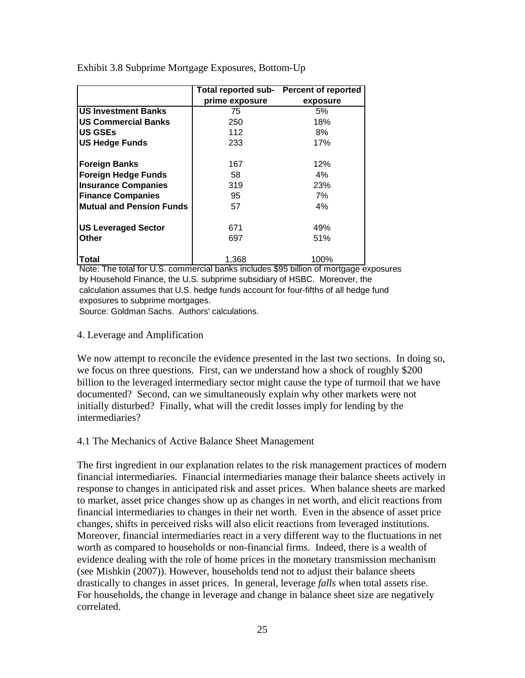|                                 |                | Total reported sub- Percent of reported |
|---------------------------------|----------------|-----------------------------------------|
|                                 | prime exposure | exposure                                |
| <b>US Investment Banks</b>      | 75             | 5%                                      |
| <b>US Commercial Banks</b>      | 250            | 18%                                     |
| <b>US GSEs</b>                  | 112            | 8%                                      |
| <b>US Hedge Funds</b>           | 233            | 17%                                     |
| <b>Foreign Banks</b>            | 167            | 12%                                     |
| <b>Foreign Hedge Funds</b>      | 58             | 4%                                      |
| <b>Insurance Companies</b>      | 319            | <b>23%</b>                              |
| <b>Finance Companies</b>        | 95             | 7%                                      |
| <b>Mutual and Pension Funds</b> | 57             | 4%                                      |
| <b>US Leveraged Sector</b>      | 671            | 49%                                     |
| Other                           | 697            | 51%                                     |
| Total                           | 1,368          | 100%                                    |

Exhibit 3.8 Subprime Mortgage Exposures, Bottom-Up

Note: The total for U.S. commercial banks includes \$95 billion of mortgage exposures by Household Finance, the U.S. subprime subsidiary of HSBC. Moreover, the calculation assumes that U.S. hedge funds account for four-fifths of all hedge fund exposures to subprime mortgages.

Source: Goldman Sachs. Authors' calculations.

### 4. Leverage and Amplification

We now attempt to reconcile the evidence presented in the last two sections. In doing so, we focus on three questions. First, can we understand how a shock of roughly \$200 billion to the leveraged intermediary sector might cause the type of turmoil that we have documented? Second, can we simultaneously explain why other markets were not initially disturbed? Finally, what will the credit losses imply for lending by the intermediaries?

# 4.1 The Mechanics of Active Balance Sheet Management

The first ingredient in our explanation relates to the risk management practices of modern financial intermediaries. Financial intermediaries manage their balance sheets actively in response to changes in anticipated risk and asset prices. When balance sheets are marked to market, asset price changes show up as changes in net worth, and elicit reactions from financial intermediaries to changes in their net worth. Even in the absence of asset price changes, shifts in perceived risks will also elicit reactions from leveraged institutions. Moreover, financial intermediaries react in a very different way to the fluctuations in net worth as compared to households or non-financial firms. Indeed, there is a wealth of evidence dealing with the role of home prices in the monetary transmission mechanism (see Mishkin (2007)). However, households tend not to adjust their balance sheets drastically to changes in asset prices. In general, leverage *falls* when total assets rise. For households, the change in leverage and change in balance sheet size are negatively correlated.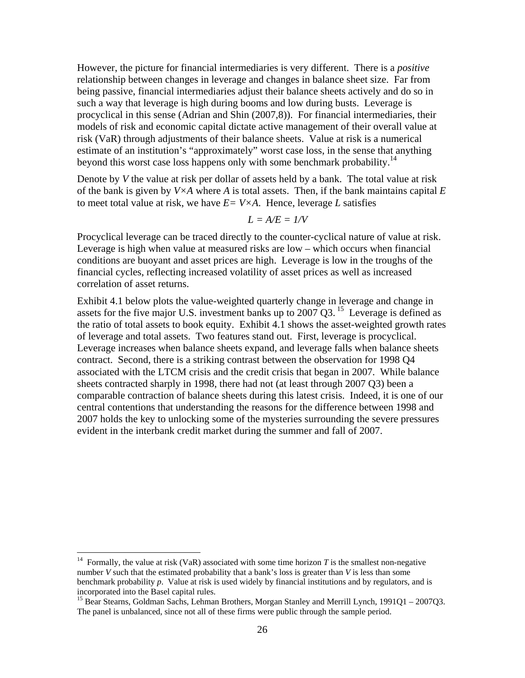However, the picture for financial intermediaries is very different. There is a *positive* relationship between changes in leverage and changes in balance sheet size. Far from being passive, financial intermediaries adjust their balance sheets actively and do so in such a way that leverage is high during booms and low during busts. Leverage is procyclical in this sense (Adrian and Shin (2007,8)). For financial intermediaries, their models of risk and economic capital dictate active management of their overall value at risk (VaR) through adjustments of their balance sheets. Value at risk is a numerical estimate of an institution's "approximately" worst case loss, in the sense that anything beyond this worst case loss happens only with some benchmark probability.<sup>14</sup>

Denote by *V* the value at risk per dollar of assets held by a bank. The total value at risk of the bank is given by  $V \times A$  where A is total assets. Then, if the bank maintains capital E to meet total value at risk, we have  $E = V \times A$ . Hence, leverage *L* satisfies

$$
L = A/E = I/V
$$

Procyclical leverage can be traced directly to the counter-cyclical nature of value at risk. Leverage is high when value at measured risks are low – which occurs when financial conditions are buoyant and asset prices are high. Leverage is low in the troughs of the financial cycles, reflecting increased volatility of asset prices as well as increased correlation of asset returns.

Exhibit 4.1 below plots the value-weighted quarterly change in leverage and change in assets for the five major U.S. investment banks up to 2007  $Q3$ . <sup>15</sup> Leverage is defined as the ratio of total assets to book equity. Exhibit 4.1 shows the asset-weighted growth rates of leverage and total assets. Two features stand out. First, leverage is procyclical. Leverage increases when balance sheets expand, and leverage falls when balance sheets contract. Second, there is a striking contrast between the observation for 1998 Q4 associated with the LTCM crisis and the credit crisis that began in 2007. While balance sheets contracted sharply in 1998, there had not (at least through 2007 Q3) been a comparable contraction of balance sheets during this latest crisis. Indeed, it is one of our central contentions that understanding the reasons for the difference between 1998 and 2007 holds the key to unlocking some of the mysteries surrounding the severe pressures evident in the interbank credit market during the summer and fall of 2007.

 $\overline{a}$ 

<sup>&</sup>lt;sup>14</sup> Formally, the value at risk (VaR) associated with some time horizon  $T$  is the smallest non-negative number *V* such that the estimated probability that a bank's loss is greater than *V* is less than some benchmark probability *p*. Value at risk is used widely by financial institutions and by regulators, and is incorporated into the Basel capital rules.

<sup>&</sup>lt;sup>15</sup> Bear Stearns, Goldman Sachs, Lehman Brothers, Morgan Stanley and Merrill Lynch, 1991Q1 – 2007Q3. The panel is unbalanced, since not all of these firms were public through the sample period.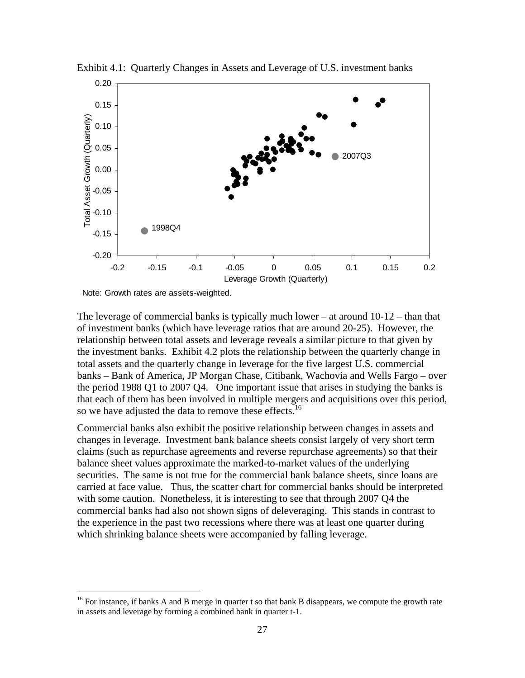

Exhibit 4.1: Quarterly Changes in Assets and Leverage of U.S. investment banks

Note: Growth rates are assets-weighted.

 $\overline{a}$ 

The leverage of commercial banks is typically much lower – at around  $10-12$  – than that of investment banks (which have leverage ratios that are around 20-25). However, the relationship between total assets and leverage reveals a similar picture to that given by the investment banks. Exhibit 4.2 plots the relationship between the quarterly change in total assets and the quarterly change in leverage for the five largest U.S. commercial banks – Bank of America, JP Morgan Chase, Citibank, Wachovia and Wells Fargo – over the period 1988 Q1 to 2007 Q4. One important issue that arises in studying the banks is that each of them has been involved in multiple mergers and acquisitions over this period, so we have adjusted the data to remove these effects.<sup>16</sup>

Commercial banks also exhibit the positive relationship between changes in assets and changes in leverage. Investment bank balance sheets consist largely of very short term claims (such as repurchase agreements and reverse repurchase agreements) so that their balance sheet values approximate the marked-to-market values of the underlying securities. The same is not true for the commercial bank balance sheets, since loans are carried at face value. Thus, the scatter chart for commercial banks should be interpreted with some caution. Nonetheless, it is interesting to see that through 2007 Q4 the commercial banks had also not shown signs of deleveraging. This stands in contrast to the experience in the past two recessions where there was at least one quarter during which shrinking balance sheets were accompanied by falling leverage.

<sup>&</sup>lt;sup>16</sup> For instance, if banks A and B merge in quarter t so that bank B disappears, we compute the growth rate in assets and leverage by forming a combined bank in quarter t-1.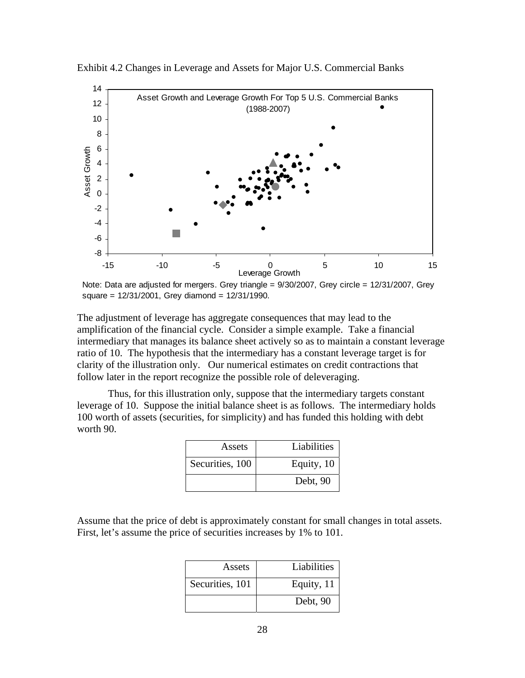

Exhibit 4.2 Changes in Leverage and Assets for Major U.S. Commercial Banks

Note: Data are adjusted for mergers. Grey triangle = 9/30/2007, Grey circle = 12/31/2007, Grey square =  $12/31/2001$ , Grey diamond =  $12/31/1990$ .

The adjustment of leverage has aggregate consequences that may lead to the amplification of the financial cycle. Consider a simple example. Take a financial intermediary that manages its balance sheet actively so as to maintain a constant leverage ratio of 10. The hypothesis that the intermediary has a constant leverage target is for clarity of the illustration only. Our numerical estimates on credit contractions that follow later in the report recognize the possible role of deleveraging.

Thus, for this illustration only, suppose that the intermediary targets constant leverage of 10. Suppose the initial balance sheet is as follows. The intermediary holds 100 worth of assets (securities, for simplicity) and has funded this holding with debt worth 90.

| Assets          | Liabilities |
|-----------------|-------------|
| Securities, 100 | Equity, 10  |
|                 | Debt, 90    |

Assume that the price of debt is approximately constant for small changes in total assets. First, let's assume the price of securities increases by 1% to 101.

| Assets          | Liabilities |
|-----------------|-------------|
| Securities, 101 | Equity, 11  |
|                 | Debt, 90    |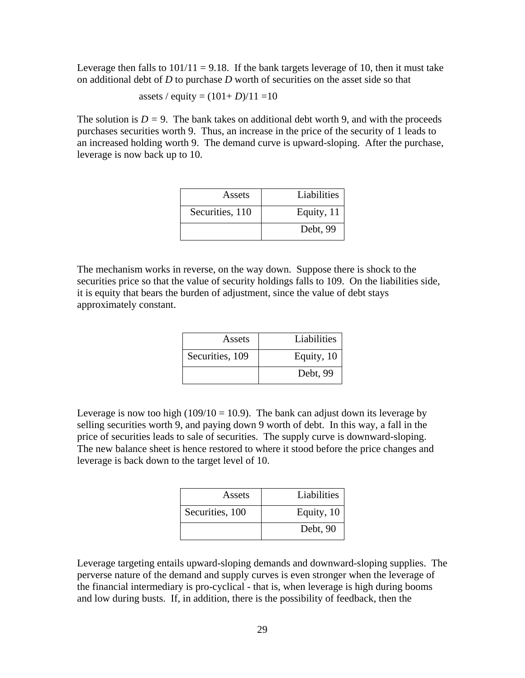Leverage then falls to  $101/11 = 9.18$ . If the bank targets leverage of 10, then it must take on additional debt of *D* to purchase *D* worth of securities on the asset side so that

assets / equity =  $(101 + D)/11 = 10$ 

The solution is  $D = 9$ . The bank takes on additional debt worth 9, and with the proceeds purchases securities worth 9. Thus, an increase in the price of the security of 1 leads to an increased holding worth 9. The demand curve is upward-sloping. After the purchase, leverage is now back up to 10.

| Assets          | Liabilities |
|-----------------|-------------|
| Securities, 110 | Equity, 11  |
|                 | Debt, 99    |

The mechanism works in reverse, on the way down. Suppose there is shock to the securities price so that the value of security holdings falls to 109. On the liabilities side, it is equity that bears the burden of adjustment, since the value of debt stays approximately constant.

| Assets          | Liabilities |
|-----------------|-------------|
| Securities, 109 | Equity, 10  |
|                 | Debt, 99    |

Leverage is now too high ( $109/10 = 10.9$ ). The bank can adjust down its leverage by selling securities worth 9, and paying down 9 worth of debt. In this way, a fall in the price of securities leads to sale of securities. The supply curve is downward-sloping. The new balance sheet is hence restored to where it stood before the price changes and leverage is back down to the target level of 10.

| Assets          | Liabilities |
|-----------------|-------------|
| Securities, 100 | Equity, 10  |
|                 | Debt, 90    |

Leverage targeting entails upward-sloping demands and downward-sloping supplies. The perverse nature of the demand and supply curves is even stronger when the leverage of the financial intermediary is pro-cyclical - that is, when leverage is high during booms and low during busts. If, in addition, there is the possibility of feedback, then the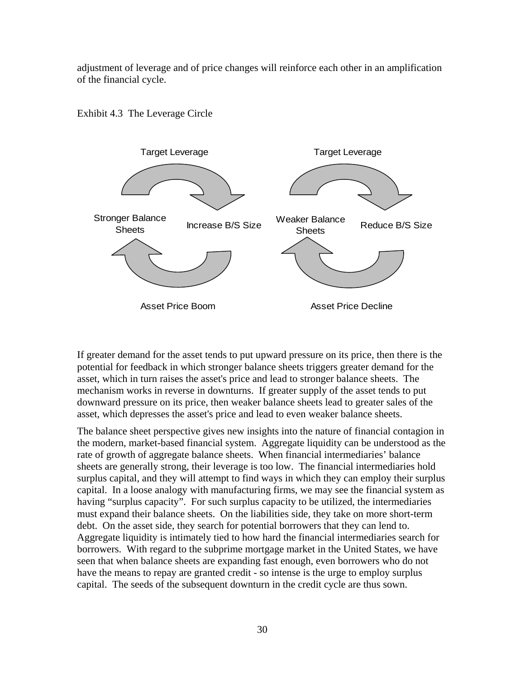adjustment of leverage and of price changes will reinforce each other in an amplification of the financial cycle.





If greater demand for the asset tends to put upward pressure on its price, then there is the potential for feedback in which stronger balance sheets triggers greater demand for the asset, which in turn raises the asset's price and lead to stronger balance sheets. The mechanism works in reverse in downturns. If greater supply of the asset tends to put downward pressure on its price, then weaker balance sheets lead to greater sales of the asset, which depresses the asset's price and lead to even weaker balance sheets.

The balance sheet perspective gives new insights into the nature of financial contagion in the modern, market-based financial system. Aggregate liquidity can be understood as the rate of growth of aggregate balance sheets. When financial intermediaries' balance sheets are generally strong, their leverage is too low. The financial intermediaries hold surplus capital, and they will attempt to find ways in which they can employ their surplus capital. In a loose analogy with manufacturing firms, we may see the financial system as having "surplus capacity". For such surplus capacity to be utilized, the intermediaries must expand their balance sheets. On the liabilities side, they take on more short-term debt. On the asset side, they search for potential borrowers that they can lend to. Aggregate liquidity is intimately tied to how hard the financial intermediaries search for borrowers. With regard to the subprime mortgage market in the United States, we have seen that when balance sheets are expanding fast enough, even borrowers who do not have the means to repay are granted credit - so intense is the urge to employ surplus capital. The seeds of the subsequent downturn in the credit cycle are thus sown.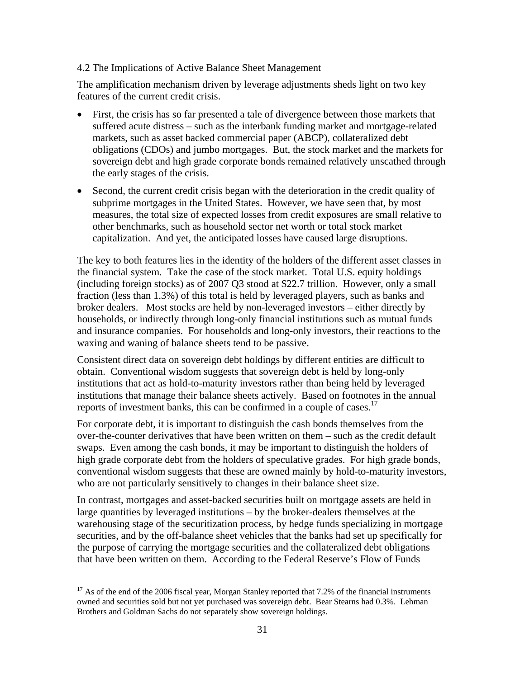# 4.2 The Implications of Active Balance Sheet Management

The amplification mechanism driven by leverage adjustments sheds light on two key features of the current credit crisis.

- First, the crisis has so far presented a tale of divergence between those markets that suffered acute distress – such as the interbank funding market and mortgage-related markets, such as asset backed commercial paper (ABCP), collateralized debt obligations (CDOs) and jumbo mortgages. But, the stock market and the markets for sovereign debt and high grade corporate bonds remained relatively unscathed through the early stages of the crisis.
- Second, the current credit crisis began with the deterioration in the credit quality of subprime mortgages in the United States. However, we have seen that, by most measures, the total size of expected losses from credit exposures are small relative to other benchmarks, such as household sector net worth or total stock market capitalization. And yet, the anticipated losses have caused large disruptions.

The key to both features lies in the identity of the holders of the different asset classes in the financial system. Take the case of the stock market. Total U.S. equity holdings (including foreign stocks) as of 2007 Q3 stood at \$22.7 trillion. However, only a small fraction (less than 1.3%) of this total is held by leveraged players, such as banks and broker dealers. Most stocks are held by non-leveraged investors – either directly by households, or indirectly through long-only financial institutions such as mutual funds and insurance companies. For households and long-only investors, their reactions to the waxing and waning of balance sheets tend to be passive.

Consistent direct data on sovereign debt holdings by different entities are difficult to obtain. Conventional wisdom suggests that sovereign debt is held by long-only institutions that act as hold-to-maturity investors rather than being held by leveraged institutions that manage their balance sheets actively. Based on footnotes in the annual reports of investment banks, this can be confirmed in a couple of cases.<sup>17</sup>

For corporate debt, it is important to distinguish the cash bonds themselves from the over-the-counter derivatives that have been written on them – such as the credit default swaps. Even among the cash bonds, it may be important to distinguish the holders of high grade corporate debt from the holders of speculative grades. For high grade bonds, conventional wisdom suggests that these are owned mainly by hold-to-maturity investors, who are not particularly sensitively to changes in their balance sheet size.

In contrast, mortgages and asset-backed securities built on mortgage assets are held in large quantities by leveraged institutions – by the broker-dealers themselves at the warehousing stage of the securitization process, by hedge funds specializing in mortgage securities, and by the off-balance sheet vehicles that the banks had set up specifically for the purpose of carrying the mortgage securities and the collateralized debt obligations that have been written on them. According to the Federal Reserve's Flow of Funds

 $\overline{a}$ 

 $17$  As of the end of the 2006 fiscal year, Morgan Stanley reported that 7.2% of the financial instruments owned and securities sold but not yet purchased was sovereign debt. Bear Stearns had 0.3%. Lehman Brothers and Goldman Sachs do not separately show sovereign holdings.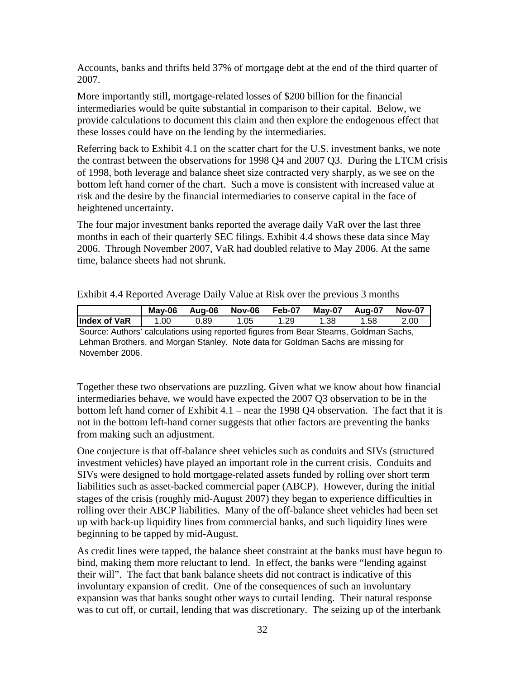Accounts, banks and thrifts held 37% of mortgage debt at the end of the third quarter of 2007.

More importantly still, mortgage-related losses of \$200 billion for the financial intermediaries would be quite substantial in comparison to their capital. Below, we provide calculations to document this claim and then explore the endogenous effect that these losses could have on the lending by the intermediaries.

Referring back to Exhibit 4.1 on the scatter chart for the U.S. investment banks, we note the contrast between the observations for 1998 Q4 and 2007 Q3. During the LTCM crisis of 1998, both leverage and balance sheet size contracted very sharply, as we see on the bottom left hand corner of the chart. Such a move is consistent with increased value at risk and the desire by the financial intermediaries to conserve capital in the face of heightened uncertainty.

The four major investment banks reported the average daily VaR over the last three months in each of their quarterly SEC filings. Exhibit 4.4 shows these data since May 2006. Through November 2007, VaR had doubled relative to May 2006. At the same time, balance sheets had not shrunk.

| Exhibit 4.4 Reported Average Daily Value at Risk over the previous 3 months |  |
|-----------------------------------------------------------------------------|--|
|-----------------------------------------------------------------------------|--|

|                                                                                        | Mav-06 | Aug-06 | Nov-06 | Feb-07 | Mav-07 | Aug-07 | <b>Nov-07</b> |
|----------------------------------------------------------------------------------------|--------|--------|--------|--------|--------|--------|---------------|
| Index of VaR                                                                           | 1.00   | 0.89   | 1.05   | 1.29   | 1.38   | 1.58   | 2.00          |
| Source: Authors' calculations using reported figures from Bear Stearns, Goldman Sachs, |        |        |        |        |        |        |               |

Lehman Brothers, and Morgan Stanley. Note data for Goldman Sachs are missing for November 2006.

Together these two observations are puzzling. Given what we know about how financial intermediaries behave, we would have expected the 2007 Q3 observation to be in the bottom left hand corner of Exhibit 4.1 – near the 1998 Q4 observation. The fact that it is not in the bottom left-hand corner suggests that other factors are preventing the banks from making such an adjustment.

One conjecture is that off-balance sheet vehicles such as conduits and SIVs (structured investment vehicles) have played an important role in the current crisis. Conduits and SIVs were designed to hold mortgage-related assets funded by rolling over short term liabilities such as asset-backed commercial paper (ABCP). However, during the initial stages of the crisis (roughly mid-August 2007) they began to experience difficulties in rolling over their ABCP liabilities. Many of the off-balance sheet vehicles had been set up with back-up liquidity lines from commercial banks, and such liquidity lines were beginning to be tapped by mid-August.

As credit lines were tapped, the balance sheet constraint at the banks must have begun to bind, making them more reluctant to lend. In effect, the banks were "lending against their will". The fact that bank balance sheets did not contract is indicative of this involuntary expansion of credit. One of the consequences of such an involuntary expansion was that banks sought other ways to curtail lending. Their natural response was to cut off, or curtail, lending that was discretionary. The seizing up of the interbank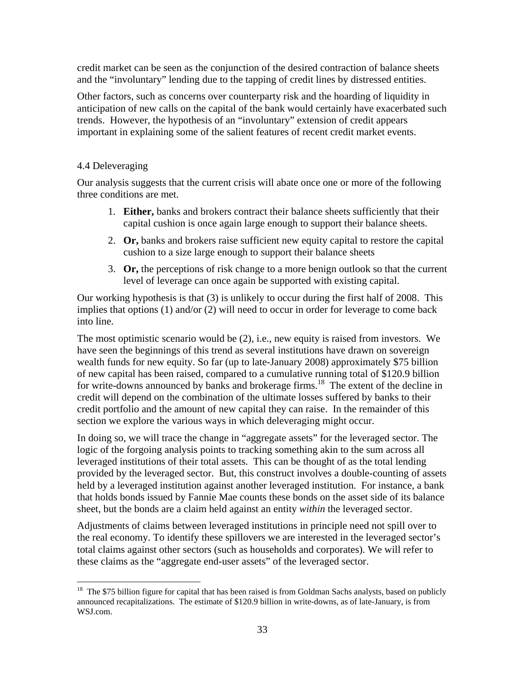credit market can be seen as the conjunction of the desired contraction of balance sheets and the "involuntary" lending due to the tapping of credit lines by distressed entities.

Other factors, such as concerns over counterparty risk and the hoarding of liquidity in anticipation of new calls on the capital of the bank would certainly have exacerbated such trends. However, the hypothesis of an "involuntary" extension of credit appears important in explaining some of the salient features of recent credit market events.

# 4.4 Deleveraging

Our analysis suggests that the current crisis will abate once one or more of the following three conditions are met.

- 1. **Either,** banks and brokers contract their balance sheets sufficiently that their capital cushion is once again large enough to support their balance sheets.
- 2. **Or,** banks and brokers raise sufficient new equity capital to restore the capital cushion to a size large enough to support their balance sheets
- 3. **Or,** the perceptions of risk change to a more benign outlook so that the current level of leverage can once again be supported with existing capital.

Our working hypothesis is that (3) is unlikely to occur during the first half of 2008. This implies that options (1) and/or (2) will need to occur in order for leverage to come back into line.

The most optimistic scenario would be (2), i.e., new equity is raised from investors. We have seen the beginnings of this trend as several institutions have drawn on sovereign wealth funds for new equity. So far (up to late-January 2008) approximately \$75 billion of new capital has been raised, compared to a cumulative running total of \$120.9 billion for write-downs announced by banks and brokerage firms.<sup>18</sup> The extent of the decline in credit will depend on the combination of the ultimate losses suffered by banks to their credit portfolio and the amount of new capital they can raise. In the remainder of this section we explore the various ways in which deleveraging might occur.

In doing so, we will trace the change in "aggregate assets" for the leveraged sector. The logic of the forgoing analysis points to tracking something akin to the sum across all leveraged institutions of their total assets. This can be thought of as the total lending provided by the leveraged sector. But, this construct involves a double-counting of assets held by a leveraged institution against another leveraged institution. For instance, a bank that holds bonds issued by Fannie Mae counts these bonds on the asset side of its balance sheet, but the bonds are a claim held against an entity *within* the leveraged sector.

Adjustments of claims between leveraged institutions in principle need not spill over to the real economy. To identify these spillovers we are interested in the leveraged sector's total claims against other sectors (such as households and corporates). We will refer to these claims as the "aggregate end-user assets" of the leveraged sector.

 $\overline{a}$ <sup>18</sup> The \$75 billion figure for capital that has been raised is from Goldman Sachs analysts, based on publicly announced recapitalizations. The estimate of \$120.9 billion in write-downs, as of late-January, is from WSJ.com.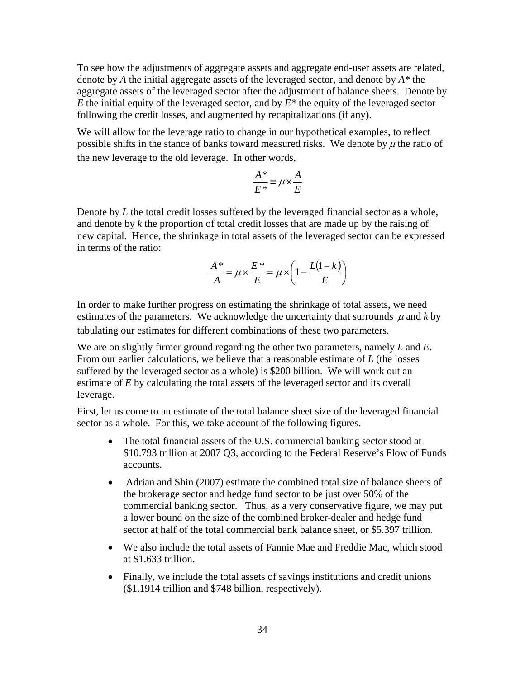To see how the adjustments of aggregate assets and aggregate end-user assets are related, denote by *A* the initial aggregate assets of the leveraged sector, and denote by *A\** the aggregate assets of the leveraged sector after the adjustment of balance sheets. Denote by *E* the initial equity of the leveraged sector, and by *E\** the equity of the leveraged sector following the credit losses, and augmented by recapitalizations (if any).

We will allow for the leverage ratio to change in our hypothetical examples, to reflect possible shifts in the stance of banks toward measured risks. We denote by  $\mu$  the ratio of the new leverage to the old leverage. In other words,

$$
\frac{A^*}{E^*} \equiv \mu \times \frac{A}{E}
$$

Denote by *L* the total credit losses suffered by the leveraged financial sector as a whole, and denote by *k* the proportion of total credit losses that are made up by the raising of new capital. Hence, the shrinkage in total assets of the leveraged sector can be expressed in terms of the ratio:

$$
\frac{A^*}{A} = \mu \times \frac{E^*}{E} = \mu \times \left(1 - \frac{L(1 - k)}{E}\right)
$$

In order to make further progress on estimating the shrinkage of total assets, we need estimates of the parameters. We acknowledge the uncertainty that surrounds  $\mu$  and  $k$  by tabulating our estimates for different combinations of these two parameters.

We are on slightly firmer ground regarding the other two parameters, namely *L* and *E*. From our earlier calculations, we believe that a reasonable estimate of *L* (the losses suffered by the leveraged sector as a whole) is \$200 billion. We will work out an estimate of *E* by calculating the total assets of the leveraged sector and its overall leverage.

First, let us come to an estimate of the total balance sheet size of the leveraged financial sector as a whole. For this, we take account of the following figures.

- The total financial assets of the U.S. commercial banking sector stood at \$10.793 trillion at 2007 Q3, according to the Federal Reserve's Flow of Funds accounts.
- Adrian and Shin (2007) estimate the combined total size of balance sheets of the brokerage sector and hedge fund sector to be just over 50% of the commercial banking sector. Thus, as a very conservative figure, we may put a lower bound on the size of the combined broker-dealer and hedge fund sector at half of the total commercial bank balance sheet, or \$5.397 trillion.
- We also include the total assets of Fannie Mae and Freddie Mac, which stood at \$1.633 trillion.
- Finally, we include the total assets of savings institutions and credit unions (\$1.1914 trillion and \$748 billion, respectively).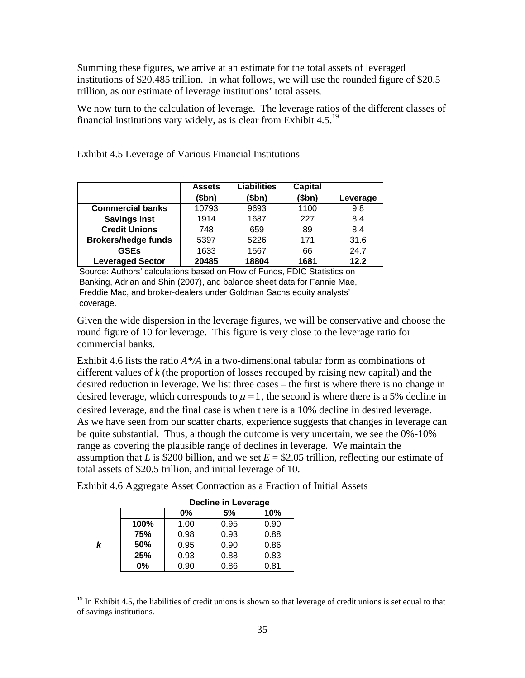Summing these figures, we arrive at an estimate for the total assets of leveraged institutions of \$20.485 trillion. In what follows, we will use the rounded figure of \$20.5 trillion, as our estimate of leverage institutions' total assets.

We now turn to the calculation of leverage. The leverage ratios of the different classes of financial institutions vary widely, as is clear from Exhibit  $4.5^{19}$ 

|                            | <b>Assets</b><br>\$bn) | Liabilities<br>(\$bn) | <b>Capital</b><br>\$bn) | Leverage |
|----------------------------|------------------------|-----------------------|-------------------------|----------|
| <b>Commercial banks</b>    | 10793                  | 9693                  | 1100                    | 9.8      |
| <b>Savings Inst</b>        | 1914                   | 1687                  | 227                     | 8.4      |
| <b>Credit Unions</b>       | 748                    | 659                   | 89                      | 8.4      |
| <b>Brokers/hedge funds</b> | 5397                   | 5226                  | 171                     | 31.6     |
| <b>GSEs</b>                | 1633                   | 1567                  | 66                      | 24.7     |
| <b>Leveraged Sector</b>    | 20485                  | 18804                 | 1681                    | 12.2     |

Exhibit 4.5 Leverage of Various Financial Institutions

Source: Authors' calculations based on Flow of Funds, FDIC Statistics on Banking, Adrian and Shin (2007), and balance sheet data for Fannie Mae, Freddie Mac, and broker-dealers under Goldman Sachs equity analysts' coverage.

Given the wide dispersion in the leverage figures, we will be conservative and choose the round figure of 10 for leverage. This figure is very close to the leverage ratio for commercial banks.

Exhibit 4.6 lists the ratio *A\*/A* in a two-dimensional tabular form as combinations of different values of *k* (the proportion of losses recouped by raising new capital) and the desired reduction in leverage. We list three cases – the first is where there is no change in desired leverage, which corresponds to  $\mu = 1$ , the second is where there is a 5% decline in desired leverage, and the final case is when there is a 10% decline in desired leverage. As we have seen from our scatter charts, experience suggests that changes in leverage can be quite substantial. Thus, although the outcome is very uncertain, we see the 0%-10% range as covering the plausible range of declines in leverage. We maintain the assumption that *L* is \$200 billion, and we set  $E = $2.05$  trillion, reflecting our estimate of total assets of \$20.5 trillion, and initial leverage of 10.

Exhibit 4.6 Aggregate Asset Contraction as a Fraction of Initial Assets

|   |      | <b>Decline in Leverage</b> |      |      |  |  |  |  |  |
|---|------|----------------------------|------|------|--|--|--|--|--|
|   |      | 10%<br>$0\%$<br>5%         |      |      |  |  |  |  |  |
|   | 100% | 1.00                       | 0.95 | 0.90 |  |  |  |  |  |
|   | 75%  | 0.98                       | 0.93 | 0.88 |  |  |  |  |  |
| k | 50%  | 0.95                       | 0.90 | 0.86 |  |  |  |  |  |
|   | 25%  | 0.93                       | 0.88 | 0.83 |  |  |  |  |  |
|   | О%   | 0.90                       | 0.86 | 0.81 |  |  |  |  |  |

 $\overline{a}$ 

 $19$  In Exhibit 4.5, the liabilities of credit unions is shown so that leverage of credit unions is set equal to that of savings institutions.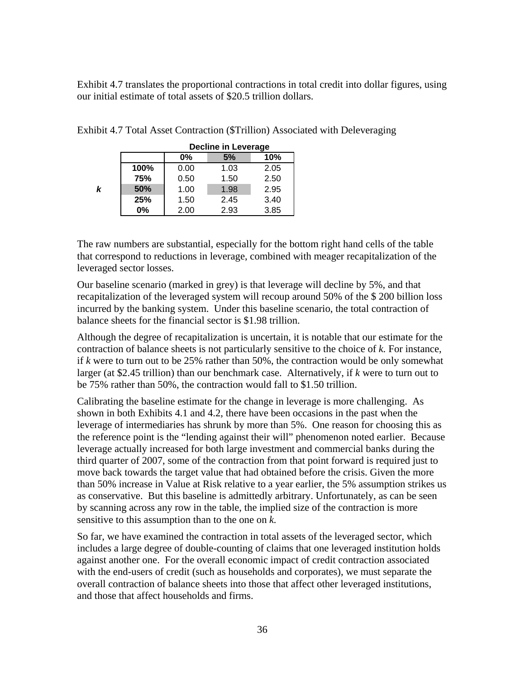Exhibit 4.7 translates the proportional contractions in total credit into dollar figures, using our initial estimate of total assets of \$20.5 trillion dollars.

|   |      | <b>Decline in Leverage</b> |      |      |  |  |  |  |  |  |
|---|------|----------------------------|------|------|--|--|--|--|--|--|
|   |      | 10%<br>$0\%$<br>5%         |      |      |  |  |  |  |  |  |
|   | 100% | 0.00                       | 1.03 | 2.05 |  |  |  |  |  |  |
|   | 75%  | 0.50                       | 1.50 | 2.50 |  |  |  |  |  |  |
| k | 50%  | 1.00                       | 1.98 | 2.95 |  |  |  |  |  |  |
|   | 25%  | 1.50                       | 2.45 | 3.40 |  |  |  |  |  |  |
|   | 0%   | 2.00                       | 2.93 | 3.85 |  |  |  |  |  |  |

Exhibit 4.7 Total Asset Contraction (\$Trillion) Associated with Deleveraging

The raw numbers are substantial, especially for the bottom right hand cells of the table that correspond to reductions in leverage, combined with meager recapitalization of the leveraged sector losses.

Our baseline scenario (marked in grey) is that leverage will decline by 5%, and that recapitalization of the leveraged system will recoup around 50% of the \$ 200 billion loss incurred by the banking system. Under this baseline scenario, the total contraction of balance sheets for the financial sector is \$1.98 trillion.

Although the degree of recapitalization is uncertain, it is notable that our estimate for the contraction of balance sheets is not particularly sensitive to the choice of *k.* For instance, if *k* were to turn out to be 25% rather than 50%, the contraction would be only somewhat larger (at \$2.45 trillion) than our benchmark case. Alternatively, if *k* were to turn out to be 75% rather than 50%, the contraction would fall to \$1.50 trillion.

Calibrating the baseline estimate for the change in leverage is more challenging. As shown in both Exhibits 4.1 and 4.2, there have been occasions in the past when the leverage of intermediaries has shrunk by more than 5%. One reason for choosing this as the reference point is the "lending against their will" phenomenon noted earlier. Because leverage actually increased for both large investment and commercial banks during the third quarter of 2007, some of the contraction from that point forward is required just to move back towards the target value that had obtained before the crisis. Given the more than 50% increase in Value at Risk relative to a year earlier, the 5% assumption strikes us as conservative. But this baseline is admittedly arbitrary. Unfortunately, as can be seen by scanning across any row in the table, the implied size of the contraction is more sensitive to this assumption than to the one on *k.* 

So far, we have examined the contraction in total assets of the leveraged sector, which includes a large degree of double-counting of claims that one leveraged institution holds against another one. For the overall economic impact of credit contraction associated with the end-users of credit (such as households and corporates), we must separate the overall contraction of balance sheets into those that affect other leveraged institutions, and those that affect households and firms.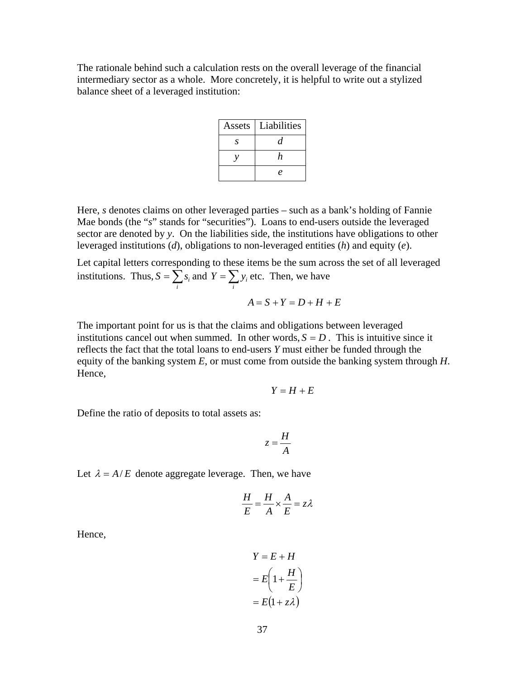The rationale behind such a calculation rests on the overall leverage of the financial intermediary sector as a whole. More concretely, it is helpful to write out a stylized balance sheet of a leveraged institution:

| Assets | Liabilities |
|--------|-------------|
| S.     | d           |
|        | h           |
|        | ρ           |

Here, *s* denotes claims on other leveraged parties – such as a bank's holding of Fannie Mae bonds (the "*s*" stands for "securities"). Loans to end-users outside the leveraged sector are denoted by *y*. On the liabilities side, the institutions have obligations to other leveraged institutions (*d*), obligations to non-leveraged entities (*h*) and equity (*e*).

Let capital letters corresponding to these items be the sum across the set of all leveraged institutions. Thus,  $S = \sum_i s_i$  and  $Y = \sum_i$  $Y = \sum y_i$  etc. Then, we have

$$
A = S + Y = D + H + E
$$

The important point for us is that the claims and obligations between leveraged institutions cancel out when summed. In other words,  $S = D$ . This is intuitive since it reflects the fact that the total loans to end-users *Y* must either be funded through the equity of the banking system *E*, or must come from outside the banking system through *H*. Hence,

$$
Y = H + E
$$

Define the ratio of deposits to total assets as:

$$
z = \frac{H}{A}
$$

Let  $\lambda = A/E$  denote aggregate leverage. Then, we have

$$
\frac{H}{E} = \frac{H}{A} \times \frac{A}{E} = z\lambda
$$

Hence,

$$
Y = E + H
$$

$$
= E\left(1 + \frac{H}{E}\right)
$$

$$
= E(1 + z\lambda)
$$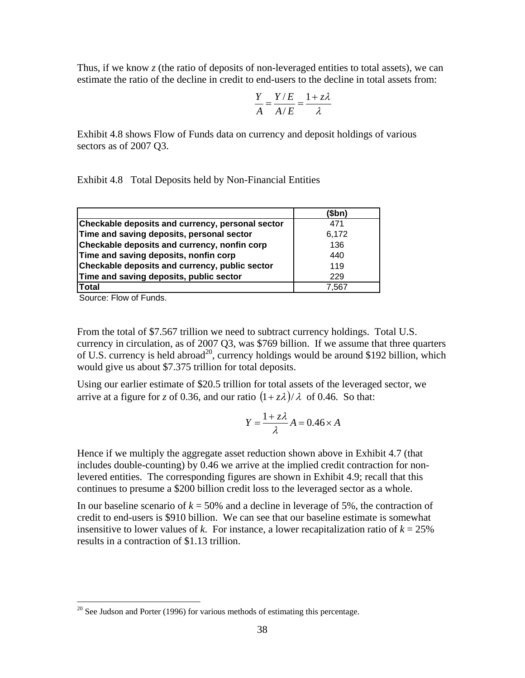Thus, if we know *z* (the ratio of deposits of non-leveraged entities to total assets), we can estimate the ratio of the decline in credit to end-users to the decline in total assets from:

$$
\frac{Y}{A} = \frac{Y/E}{A/E} = \frac{1 + z\lambda}{\lambda}
$$

Exhibit 4.8 shows Flow of Funds data on currency and deposit holdings of various sectors as of 2007 Q3.

Exhibit 4.8 Total Deposits held by Non-Financial Entities

|                                                  | (\$bn) |
|--------------------------------------------------|--------|
| Checkable deposits and currency, personal sector | 471    |
| Time and saving deposits, personal sector        | 6,172  |
| Checkable deposits and currency, nonfin corp     | 136    |
| Time and saving deposits, nonfin corp            | 440    |
| Checkable deposits and currency, public sector   | 119    |
| Time and saving deposits, public sector          | 229    |
| <b>Total</b>                                     | 7.567  |

Source: Flow of Funds.

<u>.</u>

From the total of \$7.567 trillion we need to subtract currency holdings. Total U.S. currency in circulation, as of 2007 Q3, was \$769 billion. If we assume that three quarters of U.S. currency is held abroad<sup>20</sup>, currency holdings would be around \$192 billion, which would give us about \$7.375 trillion for total deposits.

Using our earlier estimate of \$20.5 trillion for total assets of the leveraged sector, we arrive at a figure for *z* of 0.36, and our ratio  $(1 + z\lambda)/\lambda$  of 0.46. So that:

$$
Y = \frac{1 + z\lambda}{\lambda} A = 0.46 \times A
$$

Hence if we multiply the aggregate asset reduction shown above in Exhibit 4.7 (that includes double-counting) by 0.46 we arrive at the implied credit contraction for nonlevered entities. The corresponding figures are shown in Exhibit 4.9; recall that this continues to presume a \$200 billion credit loss to the leveraged sector as a whole.

In our baseline scenario of  $k = 50\%$  and a decline in leverage of 5%, the contraction of credit to end-users is \$910 billion. We can see that our baseline estimate is somewhat insensitive to lower values of *k*. For instance, a lower recapitalization ratio of  $k = 25\%$ results in a contraction of \$1.13 trillion.

 $^{20}$  See Judson and Porter (1996) for various methods of estimating this percentage.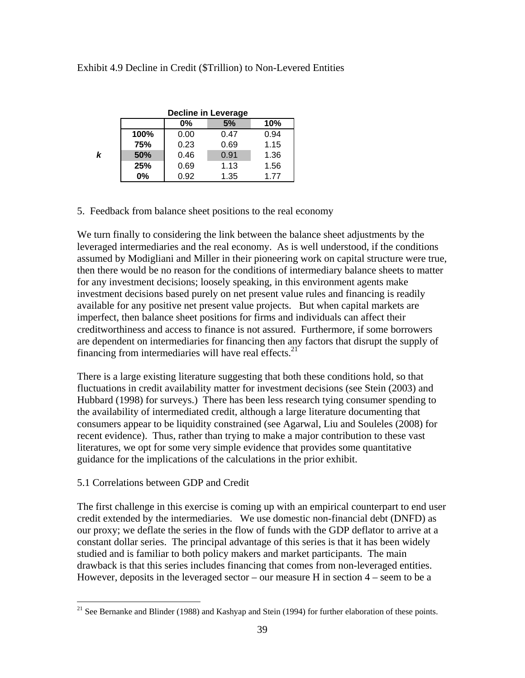# Exhibit 4.9 Decline in Credit (\$Trillion) to Non-Levered Entities

|   | <b>Decline in Leverage</b> |       |      |      |  |  |
|---|----------------------------|-------|------|------|--|--|
|   |                            | $0\%$ | 5%   | 10%  |  |  |
|   | 100%                       | 0.00  | 0.47 | 0.94 |  |  |
|   | 75%                        | 0.23  | 0.69 | 1.15 |  |  |
| k | 50%                        | 0.46  | 0.91 | 1.36 |  |  |
|   | 25%                        | 0.69  | 1.13 | 1.56 |  |  |
|   | 0%                         | 0.92  | 1.35 | 1.77 |  |  |

# 5. Feedback from balance sheet positions to the real economy

We turn finally to considering the link between the balance sheet adjustments by the leveraged intermediaries and the real economy. As is well understood, if the conditions assumed by Modigliani and Miller in their pioneering work on capital structure were true, then there would be no reason for the conditions of intermediary balance sheets to matter for any investment decisions; loosely speaking, in this environment agents make investment decisions based purely on net present value rules and financing is readily available for any positive net present value projects. But when capital markets are imperfect, then balance sheet positions for firms and individuals can affect their creditworthiness and access to finance is not assured. Furthermore, if some borrowers are dependent on intermediaries for financing then any factors that disrupt the supply of financing from intermediaries will have real effects. $21$ 

There is a large existing literature suggesting that both these conditions hold, so that fluctuations in credit availability matter for investment decisions (see Stein (2003) and Hubbard (1998) for surveys.) There has been less research tying consumer spending to the availability of intermediated credit, although a large literature documenting that consumers appear to be liquidity constrained (see Agarwal, Liu and Souleles (2008) for recent evidence). Thus, rather than trying to make a major contribution to these vast literatures, we opt for some very simple evidence that provides some quantitative guidance for the implications of the calculations in the prior exhibit.

#### 5.1 Correlations between GDP and Credit

<u>.</u>

The first challenge in this exercise is coming up with an empirical counterpart to end user credit extended by the intermediaries. We use domestic non-financial debt (DNFD) as our proxy; we deflate the series in the flow of funds with the GDP deflator to arrive at a constant dollar series. The principal advantage of this series is that it has been widely studied and is familiar to both policy makers and market participants. The main drawback is that this series includes financing that comes from non-leveraged entities. However, deposits in the leveraged sector – our measure H in section 4 – seem to be a

<sup>&</sup>lt;sup>21</sup> See Bernanke and Blinder (1988) and Kashyap and Stein (1994) for further elaboration of these points.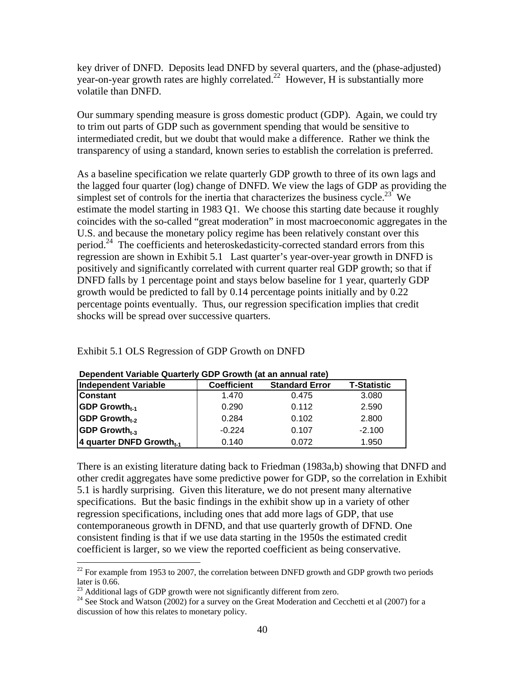key driver of DNFD. Deposits lead DNFD by several quarters, and the (phase-adjusted) year-on-year growth rates are highly correlated.<sup>22</sup> However, H is substantially more volatile than DNFD.

Our summary spending measure is gross domestic product (GDP). Again, we could try to trim out parts of GDP such as government spending that would be sensitive to intermediated credit, but we doubt that would make a difference. Rather we think the transparency of using a standard, known series to establish the correlation is preferred.

As a baseline specification we relate quarterly GDP growth to three of its own lags and the lagged four quarter (log) change of DNFD. We view the lags of GDP as providing the simplest set of controls for the inertia that characterizes the business cycle.<sup>23</sup> We estimate the model starting in 1983 Q1. We choose this starting date because it roughly coincides with the so-called "great moderation" in most macroeconomic aggregates in the U.S. and because the monetary policy regime has been relatively constant over this period.<sup>24</sup> The coefficients and heteroskedasticity-corrected standard errors from this regression are shown in Exhibit 5.1 Last quarter's year-over-year growth in DNFD is positively and significantly correlated with current quarter real GDP growth; so that if DNFD falls by 1 percentage point and stays below baseline for 1 year, quarterly GDP growth would be predicted to fall by 0.14 percentage points initially and by 0.22 percentage points eventually. Thus, our regression specification implies that credit shocks will be spread over successive quarters.

Exhibit 5.1 OLS Regression of GDP Growth on DNFD

| <b>Independent Variable</b>          | <b>Coefficient</b> | <b>Standard Error</b> | <b>T-Statistic</b> |
|--------------------------------------|--------------------|-----------------------|--------------------|
| <b>Constant</b>                      | 1.470              | 0.475                 | 3.080              |
| <b>GDP Growth</b> <sub>t-1</sub>     | 0.290              | 0.112                 | 2.590              |
| <b>GDP Growth</b> <sub>t-2</sub>     | 0.284              | 0.102                 | 2.800              |
| <b>GDP Growth</b> <sub>t-3</sub>     | $-0.224$           | 0.107                 | $-2.100$           |
| 4 quarter DNFD Growth <sub>t-1</sub> | 0.140              | 0.072                 | 1.950              |

**Dependent Variable Quarterly GDP Growth (at an annual rate)**

There is an existing literature dating back to Friedman (1983a,b) showing that DNFD and other credit aggregates have some predictive power for GDP, so the correlation in Exhibit 5.1 is hardly surprising. Given this literature, we do not present many alternative specifications. But the basic findings in the exhibit show up in a variety of other regression specifications, including ones that add more lags of GDP, that use contemporaneous growth in DFND, and that use quarterly growth of DFND. One consistent finding is that if we use data starting in the 1950s the estimated credit coefficient is larger, so we view the reported coefficient as being conservative.

 $\overline{a}$ 

 $22$  For example from 1953 to 2007, the correlation between DNFD growth and GDP growth two periods later is 0.66.<br><sup>23</sup> Additional lags of GDP growth were not significantly different from zero.

<sup>&</sup>lt;sup>24</sup> See Stock and Watson (2002) for a survey on the Great Moderation and Cecchetti et al (2007) for a discussion of how this relates to monetary policy.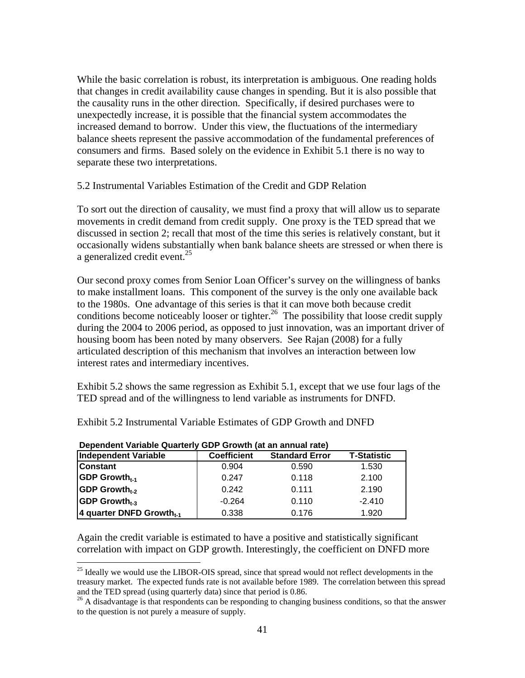While the basic correlation is robust, its interpretation is ambiguous. One reading holds that changes in credit availability cause changes in spending. But it is also possible that the causality runs in the other direction. Specifically, if desired purchases were to unexpectedly increase, it is possible that the financial system accommodates the increased demand to borrow. Under this view, the fluctuations of the intermediary balance sheets represent the passive accommodation of the fundamental preferences of consumers and firms. Based solely on the evidence in Exhibit 5.1 there is no way to separate these two interpretations.

5.2 Instrumental Variables Estimation of the Credit and GDP Relation

To sort out the direction of causality, we must find a proxy that will allow us to separate movements in credit demand from credit supply. One proxy is the TED spread that we discussed in section 2; recall that most of the time this series is relatively constant, but it occasionally widens substantially when bank balance sheets are stressed or when there is a generalized credit event.<sup>25</sup>

Our second proxy comes from Senior Loan Officer's survey on the willingness of banks to make installment loans. This component of the survey is the only one available back to the 1980s. One advantage of this series is that it can move both because credit conditions become noticeably looser or tighter.<sup>26</sup> The possibility that loose credit supply during the 2004 to 2006 period, as opposed to just innovation, was an important driver of housing boom has been noted by many observers. See Rajan (2008) for a fully articulated description of this mechanism that involves an interaction between low interest rates and intermediary incentives.

Exhibit 5.2 shows the same regression as Exhibit 5.1, except that we use four lags of the TED spread and of the willingness to lend variable as instruments for DNFD.

| Dependent Variable Quarterly GDP Growth (at an annual rate) |                    |                       |                    |  |  |  |
|-------------------------------------------------------------|--------------------|-----------------------|--------------------|--|--|--|
| <b>Independent Variable</b>                                 | <b>Coefficient</b> | <b>Standard Error</b> | <b>T-Statistic</b> |  |  |  |
| <b>IConstant</b>                                            | 0.904              | 0.590                 | 1.530              |  |  |  |
| GDP Growth <sub>t-1</sub>                                   | 0.247              | 0.118                 | 2.100              |  |  |  |
| GDP Growth <sub>t-2</sub>                                   | 0.242              | 0.111                 | 2.190              |  |  |  |
| <b>GDP</b> Growth <sub>t-3</sub>                            | $-0.264$           | 0.110                 | $-2.410$           |  |  |  |
| 4 quarter DNFD Growth <sub>t-1</sub>                        | 0.338              | 0.176                 | 1.920              |  |  |  |

Exhibit 5.2 Instrumental Variable Estimates of GDP Growth and DNFD

 $\overline{a}$ 

Again the credit variable is estimated to have a positive and statistically significant correlation with impact on GDP growth. Interestingly, the coefficient on DNFD more

<sup>&</sup>lt;sup>25</sup> Ideally we would use the LIBOR-OIS spread, since that spread would not reflect developments in the treasury market. The expected funds rate is not available before 1989. The correlation between this spread and the TED spread (using quarterly data) since that period is 0.86.

<sup>&</sup>lt;sup>26</sup> A disadvantage is that respondents can be responding to changing business conditions, so that the answer to the question is not purely a measure of supply.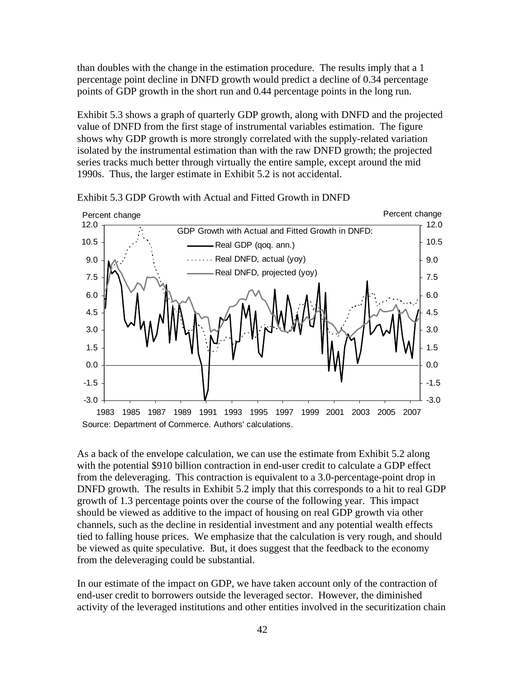than doubles with the change in the estimation procedure. The results imply that a 1 percentage point decline in DNFD growth would predict a decline of 0.34 percentage points of GDP growth in the short run and 0.44 percentage points in the long run.

Exhibit 5.3 shows a graph of quarterly GDP growth, along with DNFD and the projected value of DNFD from the first stage of instrumental variables estimation. The figure shows why GDP growth is more strongly correlated with the supply-related variation isolated by the instrumental estimation than with the raw DNFD growth; the projected series tracks much better through virtually the entire sample, except around the mid 1990s. Thus, the larger estimate in Exhibit 5.2 is not accidental.



Exhibit 5.3 GDP Growth with Actual and Fitted Growth in DNFD

As a back of the envelope calculation, we can use the estimate from Exhibit 5.2 along with the potential \$910 billion contraction in end-user credit to calculate a GDP effect from the deleveraging. This contraction is equivalent to a 3.0-percentage-point drop in DNFD growth. The results in Exhibit 5.2 imply that this corresponds to a hit to real GDP growth of 1.3 percentage points over the course of the following year. This impact should be viewed as additive to the impact of housing on real GDP growth via other channels, such as the decline in residential investment and any potential wealth effects tied to falling house prices. We emphasize that the calculation is very rough, and should be viewed as quite speculative. But, it does suggest that the feedback to the economy from the deleveraging could be substantial.

In our estimate of the impact on GDP, we have taken account only of the contraction of end-user credit to borrowers outside the leveraged sector. However, the diminished activity of the leveraged institutions and other entities involved in the securitization chain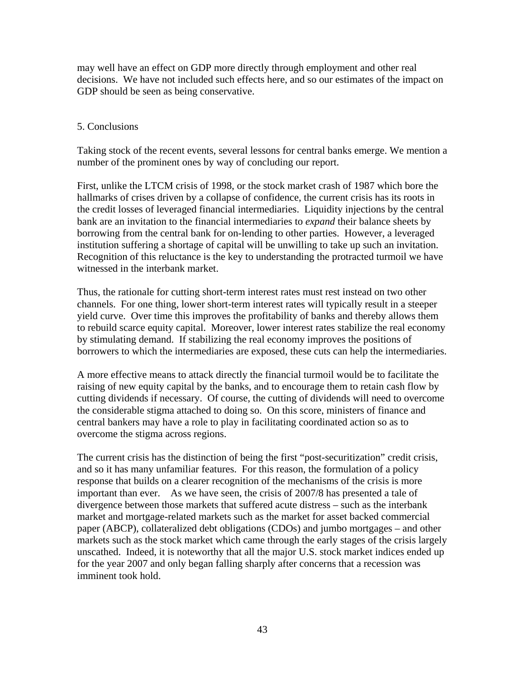may well have an effect on GDP more directly through employment and other real decisions. We have not included such effects here, and so our estimates of the impact on GDP should be seen as being conservative.

# 5. Conclusions

Taking stock of the recent events, several lessons for central banks emerge. We mention a number of the prominent ones by way of concluding our report.

First, unlike the LTCM crisis of 1998, or the stock market crash of 1987 which bore the hallmarks of crises driven by a collapse of confidence, the current crisis has its roots in the credit losses of leveraged financial intermediaries. Liquidity injections by the central bank are an invitation to the financial intermediaries to *expand* their balance sheets by borrowing from the central bank for on-lending to other parties. However, a leveraged institution suffering a shortage of capital will be unwilling to take up such an invitation. Recognition of this reluctance is the key to understanding the protracted turmoil we have witnessed in the interbank market.

Thus, the rationale for cutting short-term interest rates must rest instead on two other channels. For one thing, lower short-term interest rates will typically result in a steeper yield curve. Over time this improves the profitability of banks and thereby allows them to rebuild scarce equity capital. Moreover, lower interest rates stabilize the real economy by stimulating demand. If stabilizing the real economy improves the positions of borrowers to which the intermediaries are exposed, these cuts can help the intermediaries.

A more effective means to attack directly the financial turmoil would be to facilitate the raising of new equity capital by the banks, and to encourage them to retain cash flow by cutting dividends if necessary. Of course, the cutting of dividends will need to overcome the considerable stigma attached to doing so. On this score, ministers of finance and central bankers may have a role to play in facilitating coordinated action so as to overcome the stigma across regions.

The current crisis has the distinction of being the first "post-securitization" credit crisis, and so it has many unfamiliar features. For this reason, the formulation of a policy response that builds on a clearer recognition of the mechanisms of the crisis is more important than ever. As we have seen, the crisis of 2007/8 has presented a tale of divergence between those markets that suffered acute distress – such as the interbank market and mortgage-related markets such as the market for asset backed commercial paper (ABCP), collateralized debt obligations (CDOs) and jumbo mortgages – and other markets such as the stock market which came through the early stages of the crisis largely unscathed. Indeed, it is noteworthy that all the major U.S. stock market indices ended up for the year 2007 and only began falling sharply after concerns that a recession was imminent took hold.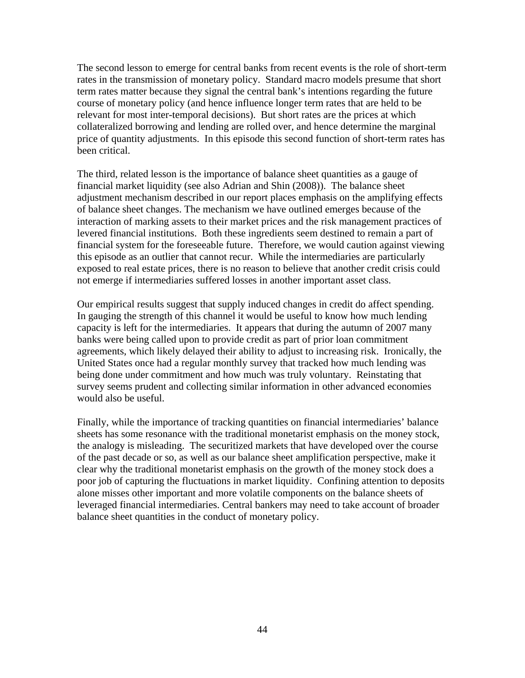The second lesson to emerge for central banks from recent events is the role of short-term rates in the transmission of monetary policy. Standard macro models presume that short term rates matter because they signal the central bank's intentions regarding the future course of monetary policy (and hence influence longer term rates that are held to be relevant for most inter-temporal decisions). But short rates are the prices at which collateralized borrowing and lending are rolled over, and hence determine the marginal price of quantity adjustments. In this episode this second function of short-term rates has been critical.

The third, related lesson is the importance of balance sheet quantities as a gauge of financial market liquidity (see also Adrian and Shin (2008)). The balance sheet adjustment mechanism described in our report places emphasis on the amplifying effects of balance sheet changes. The mechanism we have outlined emerges because of the interaction of marking assets to their market prices and the risk management practices of levered financial institutions. Both these ingredients seem destined to remain a part of financial system for the foreseeable future. Therefore, we would caution against viewing this episode as an outlier that cannot recur. While the intermediaries are particularly exposed to real estate prices, there is no reason to believe that another credit crisis could not emerge if intermediaries suffered losses in another important asset class.

Our empirical results suggest that supply induced changes in credit do affect spending. In gauging the strength of this channel it would be useful to know how much lending capacity is left for the intermediaries. It appears that during the autumn of 2007 many banks were being called upon to provide credit as part of prior loan commitment agreements, which likely delayed their ability to adjust to increasing risk. Ironically, the United States once had a regular monthly survey that tracked how much lending was being done under commitment and how much was truly voluntary. Reinstating that survey seems prudent and collecting similar information in other advanced economies would also be useful.

Finally, while the importance of tracking quantities on financial intermediaries' balance sheets has some resonance with the traditional monetarist emphasis on the money stock, the analogy is misleading. The securitized markets that have developed over the course of the past decade or so, as well as our balance sheet amplification perspective, make it clear why the traditional monetarist emphasis on the growth of the money stock does a poor job of capturing the fluctuations in market liquidity. Confining attention to deposits alone misses other important and more volatile components on the balance sheets of leveraged financial intermediaries. Central bankers may need to take account of broader balance sheet quantities in the conduct of monetary policy.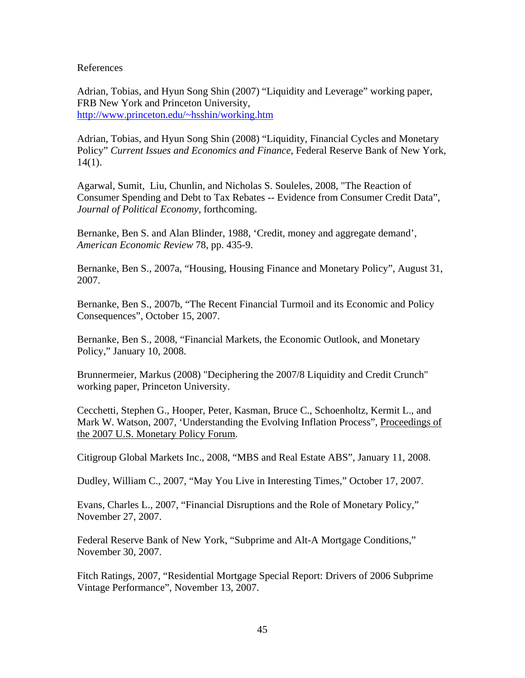References

Adrian, Tobias, and Hyun Song Shin (2007) "Liquidity and Leverage" working paper, FRB New York and Princeton University, http://www.princeton.edu/~hsshin/working.htm

Adrian, Tobias, and Hyun Song Shin (2008) "Liquidity, Financial Cycles and Monetary Policy" *Current Issues and Economics and Finance*, Federal Reserve Bank of New York,  $14(1)$ .

Agarwal, Sumit, Liu, Chunlin, and Nicholas S. Souleles, 2008, "The Reaction of Consumer Spending and Debt to Tax Rebates -- Evidence from Consumer Credit Data", *Journal of Political Economy*, forthcoming.

Bernanke, Ben S. and Alan Blinder, 1988, 'Credit, money and aggregate demand', *American Economic Review* 78, pp. 435-9.

Bernanke, Ben S., 2007a, "Housing, Housing Finance and Monetary Policy", August 31, 2007.

Bernanke, Ben S., 2007b, "The Recent Financial Turmoil and its Economic and Policy Consequences", October 15, 2007.

Bernanke, Ben S., 2008, "Financial Markets, the Economic Outlook, and Monetary Policy," January 10, 2008.

Brunnermeier, Markus (2008) "Deciphering the 2007/8 Liquidity and Credit Crunch" working paper, Princeton University.

Cecchetti, Stephen G., Hooper, Peter, Kasman, Bruce C., Schoenholtz, Kermit L., and Mark W. Watson, 2007, 'Understanding the Evolving Inflation Process", Proceedings of the 2007 U.S. Monetary Policy Forum.

Citigroup Global Markets Inc., 2008, "MBS and Real Estate ABS", January 11, 2008.

Dudley, William C., 2007, "May You Live in Interesting Times," October 17, 2007.

Evans, Charles L., 2007, "Financial Disruptions and the Role of Monetary Policy," November 27, 2007.

Federal Reserve Bank of New York, "Subprime and Alt-A Mortgage Conditions," November 30, 2007.

Fitch Ratings, 2007, "Residential Mortgage Special Report: Drivers of 2006 Subprime Vintage Performance", November 13, 2007.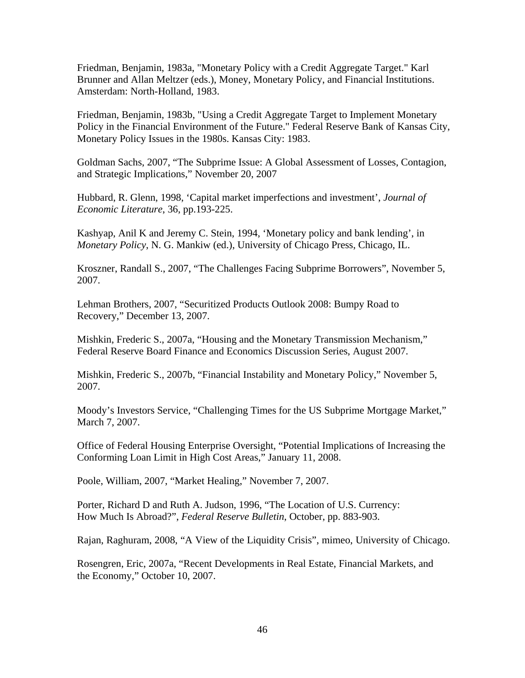Friedman, Benjamin, 1983a, "Monetary Policy with a Credit Aggregate Target." Karl Brunner and Allan Meltzer (eds.), Money, Monetary Policy, and Financial Institutions. Amsterdam: North-Holland, 1983.

Friedman, Benjamin, 1983b, "Using a Credit Aggregate Target to Implement Monetary Policy in the Financial Environment of the Future." Federal Reserve Bank of Kansas City, Monetary Policy Issues in the 1980s. Kansas City: 1983.

Goldman Sachs, 2007, "The Subprime Issue: A Global Assessment of Losses, Contagion, and Strategic Implications," November 20, 2007

Hubbard, R. Glenn, 1998, 'Capital market imperfections and investment', *Journal of Economic Literature*, 36, pp.193-225.

Kashyap, Anil K and Jeremy C. Stein, 1994, 'Monetary policy and bank lending', in *Monetary Policy*, N. G. Mankiw (ed.), University of Chicago Press, Chicago, IL.

Kroszner, Randall S., 2007, "The Challenges Facing Subprime Borrowers", November 5, 2007.

Lehman Brothers, 2007, "Securitized Products Outlook 2008: Bumpy Road to Recovery," December 13, 2007.

Mishkin, Frederic S., 2007a, "Housing and the Monetary Transmission Mechanism," Federal Reserve Board Finance and Economics Discussion Series, August 2007.

Mishkin, Frederic S., 2007b, "Financial Instability and Monetary Policy," November 5, 2007.

Moody's Investors Service, "Challenging Times for the US Subprime Mortgage Market," March 7, 2007.

Office of Federal Housing Enterprise Oversight, "Potential Implications of Increasing the Conforming Loan Limit in High Cost Areas," January 11, 2008.

Poole, William, 2007, "Market Healing," November 7, 2007.

Porter, Richard D and Ruth A. Judson, 1996, "The Location of U.S. Currency: How Much Is Abroad?", *Federal Reserve Bulletin*, October, pp. 883-903.

Rajan, Raghuram, 2008, "A View of the Liquidity Crisis", mimeo, University of Chicago.

Rosengren, Eric, 2007a, "Recent Developments in Real Estate, Financial Markets, and the Economy," October 10, 2007.